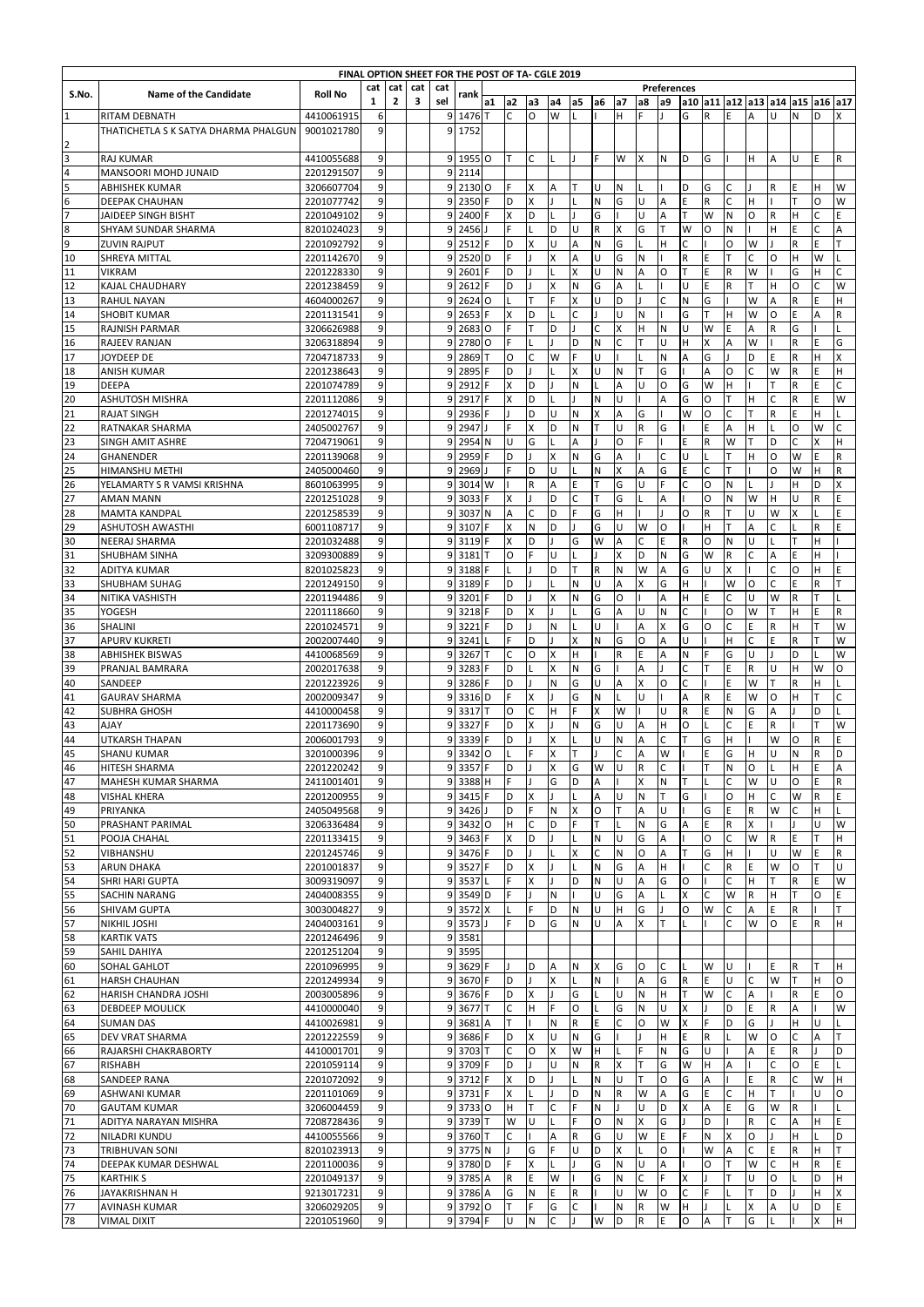| FINAL OPTION SHEET FOR THE POST OF TA- CGLE 2019<br>cat<br>cat<br>cat<br>cat<br>Preferences |                                                              |                          |                |              |   |        |                   |    |                     |         |         |              |             |         |           |           |              |             |              |                         |                                   |         |              |                     |
|---------------------------------------------------------------------------------------------|--------------------------------------------------------------|--------------------------|----------------|--------------|---|--------|-------------------|----|---------------------|---------|---------|--------------|-------------|---------|-----------|-----------|--------------|-------------|--------------|-------------------------|-----------------------------------|---------|--------------|---------------------|
| S.No.                                                                                       | <b>Name of the Candidate</b>                                 | <b>Roll No</b>           |                |              |   |        | rank              |    |                     |         |         |              |             |         |           |           |              |             |              |                         |                                   |         |              |                     |
|                                                                                             |                                                              |                          | $\mathbf{1}$   | $\mathbf{2}$ | 3 | sel    |                   | a1 | a <sub>2</sub><br>Ċ | a3<br>O | a4<br>W | a5           | a6          | a7<br>н | a8        | a9        |              | R           | E            | A                       | a10  a11  a12  a13  a14  a15<br>U | N       | a16 a17<br>D | X                   |
| $\mathbf 1$                                                                                 | <b>RITAM DEBNATH</b><br>THATICHETLA S K SATYA DHARMA PHALGUN | 4410061915<br>9001021780 | 6<br>9         |              |   | 9<br>9 | 1476<br>1752      |    |                     |         |         |              |             |         |           |           | G            |             |              |                         |                                   |         |              |                     |
|                                                                                             |                                                              |                          |                |              |   |        |                   |    |                     |         |         |              |             |         |           |           |              |             |              |                         |                                   |         |              |                     |
| $\begin{array}{c c}\n2 & 3 \\ \hline\n4 & 5 \\ \hline\n6 & 7\n\end{array}$                  | <b>RAJ KUMAR</b>                                             | 4410055688               | 9              |              |   | 9      | 1955 O            |    | т                   | С       |         |              | F           | W       | x         | ${\sf N}$ | D            | G           |              | H                       | A                                 | U       | E            | ${\sf R}$           |
|                                                                                             | MANSOORI MOHD JUNAID                                         | 2201291507               | 9              |              |   | 9      | 2114              |    |                     |         |         |              |             |         |           |           |              |             |              |                         |                                   |         |              |                     |
|                                                                                             | ABHISHEK KUMAR                                               | 3206607704               | 9              |              |   |        | 9 2130 0          |    | F                   | X       | А       | T            | U           | Ν       |           |           | D            | G           | C            |                         | R                                 | E       | н            | W                   |
|                                                                                             | DEEPAK CHAUHAN                                               | 2201077742               | 9              |              |   | 9      | 2350              |    | D                   | Χ       |         |              | N           | G       | U         | А         | Ε            | R           | C            | H                       |                                   |         | 0            | W                   |
|                                                                                             | JAIDEEP SINGH BISHT                                          | 2201049102               | 9              |              |   | 9      | 2400              |    | Χ                   | D       |         |              | G           |         | U         | А         | т            | W           | N            | O                       | $\mathsf R$                       | н       | C            | E                   |
| $\begin{array}{c}\n8 \\ 9\n\end{array}$                                                     | SHYAM SUNDAR SHARMA                                          | 8201024023               | 9              |              |   | 9      | 2456              |    | F                   |         | D       | U            | R           | X       | G         | T         | W            | O           | N            |                         | H                                 | E       | C            | A                   |
|                                                                                             | <b>ZUVIN RAJPUT</b>                                          | 2201092792               | 9              |              |   | 9      | 2512              | F  | D                   | Χ       | U       | A            | N           | G       | L         | Η         | C            |             | O            | W                       | $\overline{\phantom{a}}$          | R       | E            | т                   |
| 10                                                                                          | SHREYA MITTAL                                                | 2201142670               | $\overline{9}$ |              |   | 9      | 2520 <sub>D</sub> |    | F                   |         | X       | A            | U           | G       | N         |           | R            | E           |              | Ċ                       | O                                 | H       | W            |                     |
| 11                                                                                          | VIKRAM                                                       | 2201228330               | 9              |              |   | 9      | 2601              | F  | D                   |         |         | X            | U           | N       | A         | O         | T            | E           | $\mathsf{R}$ | W                       |                                   | G       | H            | C                   |
| 12                                                                                          | <b>KAJAL CHAUDHARY</b>                                       | 2201238459               | 9              |              |   | 9      | 2612              | F  | D                   |         | X       | N            | G           | A       |           |           | Ù            | Ė           | R            |                         | H                                 | O       | C            | W                   |
| 13                                                                                          | RAHUL NAYAN                                                  | 4604000267               | 9              |              |   | 9      | 2624 O            |    |                     |         |         | X            | U           | D       |           | Ċ         | N            | G           |              | W                       | A                                 | R       | Ė            | Н                   |
| 14                                                                                          | <b>SHOBIT KUMAR</b>                                          | 2201131541               | 9              |              |   | 9      | 2653              | F  | X                   | D       |         | Ċ            |             | U       | N         |           | G            | т           | H            | W                       | O                                 | E       | А            | ${\sf R}$           |
| 15                                                                                          | RAJNISH PARMAR                                               | 3206626988               | 9              |              |   | 9      | 2683 0            |    | F                   | T       | D       |              | C           | X       | н         | N         | Ù            | W           | E            | A                       | R                                 | G       |              |                     |
| 16                                                                                          | RAJEEV RANJAN                                                | 3206318894               | 9              |              |   | 9      | 2780              | O  | F                   |         |         | D            | N           | C       | T         | Ù         | H            | X           | A            | W                       |                                   | R       | E            | G                   |
| 17                                                                                          | JOYDEEP DE                                                   | 7204718733               | 9              |              |   | 9      | 2869              | T  | $\circ$             | C       | W       | F            | U           |         |           | N         | A            | G           |              | D                       | E                                 | R       | н            | X                   |
| 18                                                                                          | <b>ANISH KUMAR</b>                                           | 2201238643               | 9              |              |   | 9      | 2895              |    | D                   |         |         | X            | U           | N       | т         | G         |              | A           | O            | C                       | W                                 | R       | E            | Н                   |
| 19                                                                                          | <b>DEEPA</b>                                                 | 2201074789               | 9              |              |   | 9      | 2912              |    | X                   | D       |         | N            |             | А       | U         | O         | G            | W           | H            |                         |                                   | R       | Ë            | Ċ                   |
| 20<br>21                                                                                    | <b>ASHUTOSH MISHRA</b><br><b>RAJAT SINGH</b>                 | 2201112086<br>2201274015 | 9<br>9         |              |   | 9<br>9 | 2917<br>2936      | F  | X                   | D<br>D  | U       | ${\sf N}$    | N<br>X      | U<br>Α  | G         | A         | G<br>W       | O<br>O      | C            | Н<br>т                  | C<br>$\mathsf{R}$                 | R<br>E  | E<br>н       | W                   |
| 22                                                                                          | RATNAKAR SHARMA                                              | 2405002767               | 9              |              |   | 9      | 2947              |    | F                   | X       | D       | N            | T           | U       | ${\sf R}$ | G         |              | Ė           | A            | H                       |                                   | O       | W            | Ċ                   |
| 23                                                                                          | <b>SINGH AMIT ASHRE</b>                                      | 7204719061               | 9              |              |   | 9      | 2954              | N  | Ù                   | G       |         | A            |             | O       | Ë         |           | E            | R           | W            |                         | D                                 | C       | X            | Н                   |
| 24                                                                                          | GHANENDER                                                    | 2201139068               | 9              |              |   | 9      | 2959              |    | D                   |         | X       | N            | G           | А       |           |           | Ù            |             |              | H                       | O                                 | W       | E            | R                   |
| 25                                                                                          | <b>HIMANSHU METHI</b>                                        | 2405000460               | 9              |              |   | q      | 2969              |    |                     | D       | U       |              | N           | X       | А         | G         | E            | C           |              |                         | O                                 | W       | H            | R                   |
| 26                                                                                          | YELAMARTY S R VAMSI KRISHNA                                  | 8601063995               | 9              |              |   | 9      | 3014 W            |    |                     | R       | Α       | E            | т           | G       | U         |           | Ċ            | O           | N            |                         |                                   | H       | D            | X                   |
| 27                                                                                          | <b>AMAN MANN</b>                                             | 2201251028               | 9              |              |   | 9      | 3033              |    | x                   |         | D       | C            | T           | G       |           | A         |              | O           | N            | W                       | H                                 | U       | R            | E                   |
| 28                                                                                          | <b>MAMTA KANDPAL</b>                                         | 2201258539               | 9              |              |   | 9      | 3037              | N  | А                   | С       | D       | F            | G           | н       |           |           | O            | $\mathsf R$ |              | U                       | W                                 | X       |              | E                   |
| 29                                                                                          | <b>ASHUTOSH AWASTHI</b>                                      | 6001108717               | 9              |              |   | 9      | 3107              |    | X                   | N       | D       |              | G           | U       | W         | O         |              | Η           |              | A                       | Ċ                                 |         | R            | E                   |
| 30                                                                                          | NEERAJ SHARMA                                                | 2201032488               | 9              |              |   | 9      | 3119              |    | X                   | D       |         | G            | W           | А       | C         | E         | ${\sf R}$    | O           | N            | U                       |                                   |         | н            |                     |
| 31                                                                                          | SHUBHAM SINHA                                                | 3209300889               | 9              |              |   | 9      | 3181              |    | O                   | F       | U       |              |             | X       | D         | N         | G            | W           | R            | C                       | Α                                 | Ë       | H            |                     |
| 32                                                                                          | ADITYA KUMAR                                                 | 8201025823               | 9              |              |   | 9      | 3188              |    |                     | ı       | D       | т            | R           | Ν       | W         | А         | G            | U           | X            |                         | C                                 | O       | H            | E                   |
| 33                                                                                          | SHUBHAM SUHAG                                                | 2201249150               | 9              |              |   | 9      | 3189              |    | D                   |         |         | $\mathsf{N}$ | U           | А       | x         | G         | H            |             | W            | O                       | C                                 | Ë       | R            | т                   |
| 34                                                                                          | NITIKA VASHISTH                                              | 2201194486               | 9              |              |   | 9      | 3201              |    | D                   | т       | X       | $\mathsf{N}$ | G           | O       |           | A         | H            | E           | C            | U                       | W                                 | R       | T            |                     |
| 35                                                                                          | YOGESH                                                       | 2201118660               | $\overline{9}$ |              |   | 9      | 3218              |    | D                   | X       |         |              | G           | A       | U         | N         | C            |             | O            | W                       |                                   | H       | E.           | $\mathsf{R}$        |
| 36                                                                                          | SHALINI                                                      | 2201024571               | 9              |              |   | 9      | 3221              |    | D                   | т       | N       | L            | U           |         | A         | X         | G            | O           | C            | E                       | $\mathsf{R}$                      | H       | т            | W                   |
| 37                                                                                          | <b>APURV KUKRETI</b>                                         | 2002007440               | 9              |              |   | 9      | 3241              |    | F                   | D       |         | X            | N           | G       | $\circ$   | A         | U            |             | н            | Ċ                       | E                                 | R       |              | W                   |
| 38                                                                                          | <b>ABHISHEK BISWAS</b>                                       | 4410068569               | 9              |              |   | 9      | 3267              |    | C                   | O       | X       | H            |             | R       | E         | A         | N            | F           | G            | U                       |                                   | D       |              | W                   |
| $\begin{array}{c}\n 39 \\  \hline\n 40\n \end{array}$                                       | PRANJAL BAMRARA                                              | 2002017638               | 9              |              |   | 9      | 3283              |    | D                   |         | x       | N            | G           |         | A         |           | C            | т           | E            | R                       | U                                 | н       | W            | $\circ$             |
|                                                                                             | SANDEEP                                                      | 2201223926               | 9              |              |   | 9      | 3286              | F  | D                   |         | Ν       | G            | U           | Α       | Χ         | $\circ$   | $\mathsf{C}$ |             | E            | W                       | т                                 | R       | н            |                     |
| 41                                                                                          | <b>GAURAV SHARMA</b>                                         | 2002009347               | $\overline{9}$ |              |   | 9      | 3316              | D  | F                   | X       |         | G            | N           |         | U         |           | A            | R           | E            | W                       | $\circ$                           | H       | T            | Ċ                   |
| 42                                                                                          | SUBHRA GHOSH                                                 | 4410000458               | 9              |              |   | 9      | 3317              | ΙT | $\circ$             | C       | н       | F            | X           | W       |           | U         | $\mathsf{R}$ | E           | N            | G<br>F                  | A                                 |         | D<br>т       |                     |
| 43<br>44                                                                                    | AJAY                                                         | 2201173690               | 9              |              |   | 9      | 3327              |    | D<br>D              | X       | x       | N            | G<br>U      | U<br>N  | A         | Η<br>C    | O<br>T       |             |              |                         | R<br>W                            |         |              | W<br>E              |
|                                                                                             | UTKARSH THAPAN<br><b>SHANU KUMAR</b>                         | 2006001793<br>3201000396 | 9<br>9         |              |   | 9<br>9 | 3339<br>3342      | O  |                     |         | X       | Т            |             | Ċ       | А<br>Α    | W         |              | G<br>E      | н<br>G       | H                       | U                                 | O<br>N  | R<br>R       | D                   |
| 45                                                                                          | <b>HITESH SHARMA</b>                                         | 2201220242               | 9              |              |   |        | 9 3357 F          |    | D                   |         |         | G            | W           | U       | R         | C         |              | т           | N            | O                       | ΙL                                | H       | E.           |                     |
| 46<br>47                                                                                    | MAHESH KUMAR SHARMA                                          | 2411001401               | $\overline{9}$ |              |   | 9      | 3388 H            |    | F                   |         | x<br>G  | D            | A           |         | X         | N         | T            |             | C            | W                       | U                                 | O       | E.           | Α<br>$\overline{R}$ |
| 48                                                                                          | <b>VISHAL KHERA</b>                                          | 2201200955               | 9              |              |   | 9      | 3415              | F  | D                   | Χ       |         | L            | А           | U       | N         |           | G            |             | O            | H                       | C                                 | W       | R            | E                   |
| 49                                                                                          | PRIYANKA                                                     | 2405049568               | 9              |              |   | 9      | 3426              |    | D                   |         | Ν       | X            | O           |         | Α         | U         |              | G           | E            | $\mathsf R$             | W                                 | C       | H            |                     |
| 50                                                                                          | PRASHANT PARIMAL                                             | 3206336484               | 9              |              |   | 9      | 3432 O            |    | H                   | C       | D       | F            |             |         | Ν         | G         | Α            | E           | R            |                         |                                   |         | U            | W                   |
| 51                                                                                          | POOJA CHAHAL                                                 | 2201133415               | 9              |              |   | 9      | 3463 F            |    | Χ                   | D       |         |              | N           | U       | G         | Α         |              | О           | C            | W                       | R                                 | E       |              | н                   |
| 52                                                                                          | VIBHANSHU                                                    | 2201245746               | 9              |              |   | 9      | 3476 F            |    | D                   |         |         | X            | C           | Ν       | O         | А         | T            | G           | н            |                         | U                                 | W       | E            | R                   |
| 53                                                                                          | <b>ARUN DHAKA</b>                                            | 2201001837               | 9              |              |   |        | 9 3527            | F  | D                   | Χ       |         |              | N           | G       | Α         | H         |              | С           | R            | E                       | W                                 | O       | т            | U                   |
| 54                                                                                          | SHRI HARI GUPTA                                              | 3009319097               | 9              |              |   | 9      | 3537              |    | F                   | Χ       |         | D            | N           | U       | А         | G         | O            |             | C            | H                       |                                   | R       | E            | W                   |
| 55                                                                                          | SACHIN NARANG                                                | 2404008355               | 9              |              |   | 9      | 3549 D            |    | F                   | I.      | Ν       |              | U           | G       | Α         | L         | X            | С           | W            | R                       | H                                 | т       | O            | E                   |
| 56                                                                                          | SHIVAM GUPTA                                                 | 3003004827               | 9              |              |   | 9      | 3572 X            |    |                     | F       | D       | N            | U           | н       | G         |           | O            | W           | С            | Α                       | Ε                                 | R       |              | T                   |
| 57                                                                                          | NIKHIL JOSHI                                                 | 2404003161               | 9              |              |   | 9      | 3573              |    | F                   | D       | G       | N            | U           | Α       | Χ         |           |              |             | C            | W                       | O                                 | E       | R            | н                   |
| 58                                                                                          | <b>KARTIK VATS</b>                                           | 2201246496               | 9              |              |   | 9      | 3581              |    |                     |         |         |              |             |         |           |           |              |             |              |                         |                                   |         |              |                     |
| 59                                                                                          | SAHIL DAHIYA                                                 | 2201251204               | 9              |              |   | 9      | 3595              |    |                     |         |         |              |             |         |           |           |              |             |              |                         |                                   |         |              |                     |
| 60                                                                                          | SOHAL GAHLOT                                                 | 2201096995               | $9$            |              |   | 9      | 3629 F            |    |                     | D       | Α       | N            | X           | G       | O         | C         |              | W           | U            |                         | E                                 | R       | т            | H.                  |
| 61                                                                                          | <b>HARSH CHAUHAN</b>                                         | 2201249934               | 9              |              |   | 9      | 3670 F            |    | D                   |         | x       | L            | N           |         | А         | G         | R            | E           | U            | C                       | W                                 |         | н            | O                   |
| 62                                                                                          | HARISH CHANDRA JOSHI                                         | 2003005896               | 9              |              |   | 9      | 3676 F            |    | D                   | Χ       |         | G            |             | U       | Ν         | H         | T            | W           |              | Α                       |                                   | R       | E            | $\circ$             |
| 63                                                                                          | <b>DEBDEEP MOULICK</b>                                       | 4410000040               | 9              |              |   | 9      | 3677 T            |    | C                   | н       | F       | O            |             | G       | Ν         | U         | X            |             | D            | E                       | R                                 | А       |              | W                   |
| 64                                                                                          | <b>SUMAN DAS</b>                                             | 4410026981               | 9              |              |   | 9      | 3681              | Α  | T                   |         | Ν       | $\mathsf R$  | E           | C       | O         | W         | X            | F           | D            | G                       |                                   | H       | U            |                     |
| 65                                                                                          | DEV VRAT SHARMA                                              | 2201222559               | 9              |              |   | 9      | 3686 F            |    | D                   | Χ       | U       | $\mathsf{N}$ | G           |         |           | н         | E            | R           |              | W                       | O                                 | С       | Α            | T                   |
| 66                                                                                          | RAJARSHI CHAKRABORTY                                         | 4410001701               | 9              |              |   | 9      | 3703 T            |    | $\mathsf{C}$        | O       | X       | W            | H           |         | Ë         | ${\sf N}$ | G            | U           |              | А                       | Ε                                 | R       |              | D                   |
| 67                                                                                          | <b>RISHABH</b>                                               | 2201059114               | 9              |              |   | 9      | 3709 F            |    | D                   | т       | U       | $\mathsf{N}$ | $\mathsf R$ | Χ       | Т<br>T    | G         | W            | Η           | А            | E                       | С                                 | O<br>C. | E            |                     |
| 68<br>69                                                                                    | SANDEEP RANA                                                 | 2201072092               | 9              |              |   | 9      | 3712              | F  | X<br>X              | D       |         |              | N           | U       | W         | O         | G<br>G       | А<br>E      | C            | H                       | R<br>т                            |         | W<br>U       | н<br>O              |
| 70                                                                                          | <b>ASHWANI KUMAR</b><br><b>GAUTAM KUMAR</b>                  | 2201101069<br>3206004459 | 9<br>9         |              |   | 9      | 3731<br>9 3733 O  |    | H                   | T       | C       | D<br>F       | N<br>N      | R       | U         | Α<br>D    | X            | А           | Ε            | G                       | W                                 | R       |              |                     |
| 71                                                                                          | ADITYA NARAYAN MISHRA                                        | 7208728436               | 9              |              |   | 9      | 3739 T            |    | W                   | U       |         | F            | O           | Ν       | X         | G         |              | D           |              | $\overline{\mathsf{R}}$ | C                                 | А       | H            | E                   |
| 72                                                                                          | NILADRI KUNDU                                                | 4410055566               | 9              |              |   | 9      | 3760 T            |    | C                   |         | Α       | $\mathsf{R}$ | G           | U       | W         | E         | F            | N           | X            | $\circ$                 |                                   | H       |              | D                   |
| 73                                                                                          | TRIBHUVAN SONI                                               | 8201023913               | 9              |              |   | 9      | 3775 N            |    |                     | G       |         | U            | D           | X       |           | O         |              | W           | Α            | C                       | E                                 | R       | H            | T                   |
| 74                                                                                          | DEEPAK KUMAR DESHWAL                                         | 2201100036               | 9              |              |   | 9      | 3780 D            |    |                     | Χ       |         |              | G           | Ν       | U         | Α         |              | O           |              | W                       | Ċ                                 | н       | R            | E                   |
| 75                                                                                          | <b>KARTHIK S</b>                                             | 2201049137               | 9              |              |   | 9      | 3785 A            |    | R                   | E       | W       |              | G           | Ν       | C         |           | X            |             |              |                         | O                                 |         | D            | H                   |
| 76                                                                                          | JAYAKRISHNAN H                                               | 9213017231               | 9              |              |   | 9      | 3786 A            |    | G                   | Ν       | E.      | R            |             | U       | W         | O         | С            |             |              |                         | D                                 |         | н            | X                   |
| 77                                                                                          | AVINASH KUMAR                                                | 3206029205               | 9              |              |   | 9      | 3792 O            |    | Т                   | F       | G       | С            |             | Ν       | R         | W         | Η            |             |              | X                       | Α                                 | U       | D            | E                   |
| 78                                                                                          | <b>VIMAL DIXIT</b>                                           | 2201051960               | 9              |              |   | 9      | 3794 F            |    | U                   | N       | С       |              | W           | D       | R         | E         | O            | А           |              | G                       |                                   |         | X            | н                   |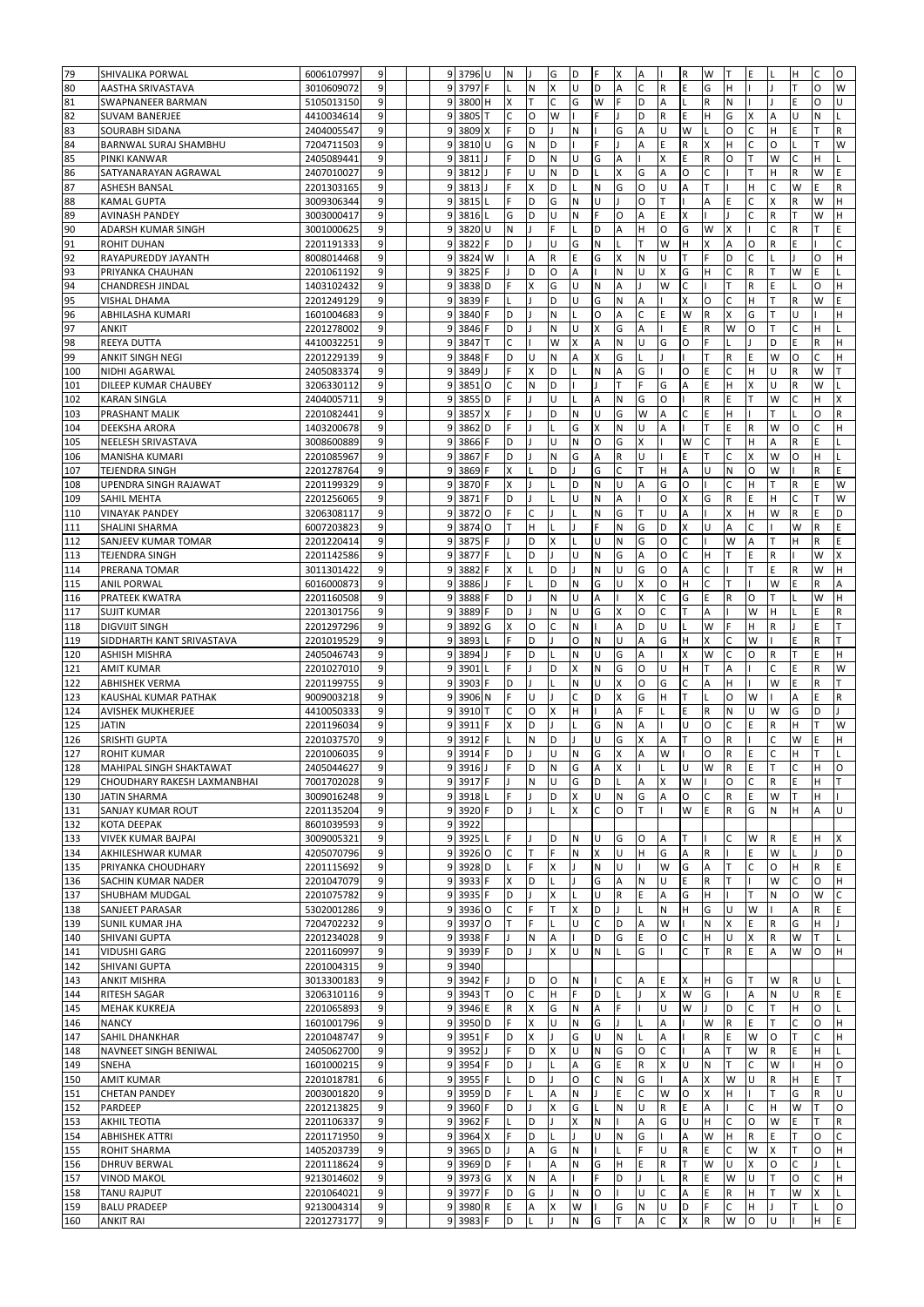| 79  | SHIVALIKA PORWAL            | 6006107997 | 9              |   | 9 3796 U          |   | N            | J | G | D         | F            | X | Α       |              | $\mathsf R$             | W | т            | E              |                | н | С      | O            |
|-----|-----------------------------|------------|----------------|---|-------------------|---|--------------|---|---|-----------|--------------|---|---------|--------------|-------------------------|---|--------------|----------------|----------------|---|--------|--------------|
| 80  | AASTHA SRIVASTAVA           | 3010609072 | 9              | 9 | 3797              |   |              | N | X | U         | D            | А | C       | R            | E                       | G | н            |                |                |   | 0      | W            |
| 81  | SWAPNANEER BARMAN           | 5105013150 | 9              | 9 | 3800 H            |   | Χ            | т | С | G         | W            | F | D       | А            | L                       | R | Ν            |                |                | E | О      | U            |
| 82  | SUVAM BANERJEE              | 4410034614 | 9              | 9 | 3805              |   | C            | O | W |           | F            |   | D       | $\mathsf{R}$ | E                       | Η | G            | X              | $\overline{A}$ | U | N      |              |
| 83  | SOURABH SIDANA              | 2404005547 | 9              | 9 | 3809 X            |   | F            | D |   | N         |              | G | Α       | U            | W                       |   | O            | C              | H              | E | T      | $\mathsf{R}$ |
| 84  | BARNWAL SURAJ SHAMBHU       | 7204711503 | 9              | 9 | 3810              | U | G            | N | D |           | F            |   | A       | E            | R                       | X | H            | C              | O              |   | T      | W            |
| 85  | PINKI KANWAR                | 2405089441 | 9              | 9 | 3811              |   | F            | D | Ν | U         | G            | A |         | X            | Ε                       | R | O            |                | W              | C | н      |              |
| 86  | SATYANARAYAN AGRAWAL        | 2407010027 | 9              | 9 | 3812              |   | Ë            | U | Ν | D         |              | Χ | G       | A            | O                       | C |              |                | H              | R | W      | E            |
| 87  | <b>ASHESH BANSAL</b>        | 2201303165 | 9              | 9 | 3813              |   | F            | Χ | D |           | N            | G | O       | Ù            | A                       | T |              | H              | C              | W | E.     | R            |
| 88  | <b>KAMAL GUPTA</b>          | 3009306344 | 9              | 9 | 3815              |   | F            | D | G | N         | Ù            |   | $\circ$ | T            |                         | A | E            | $\mathsf{C}$   | $\times$       | R | W      | Н            |
| 89  |                             |            | 9              | 9 | 3816              |   | G            | D | U | ${\sf N}$ | F            | O | Α       | E            | $\overline{\mathsf{x}}$ |   |              | $\mathsf{C}$   | $\mathsf{R}$   | T | W      | Н            |
|     | <b>AVINASH PANDEY</b>       | 3003000417 |                |   |                   |   | N            |   | Ė |           | D            | A | Η       | $\circ$      | G                       |   |              |                | C              | R | T      | E            |
| 90  | ADARSH KUMAR SINGH          | 3001000625 | 9              | 9 | 3820 U            | F | D            |   | U |           | N            |   | T       | W            | H                       | W | X            | $\circ$        |                | E |        |              |
| 91  | <b>ROHIT DUHAN</b>          | 2201191333 | 9              | 9 | 3822              |   |              |   |   | G         |              |   |         |              |                         | X | Α            |                | R              |   |        | C            |
| 92  | RAYAPUREDDY JAYANTH         | 8008014468 | 9              | 9 | 3824              | W |              | А | R | Ε         | G            | X | N       | U            | T                       | E | D            | $\mathsf{C}$   |                |   | 0      | Н            |
| 93  | PRIYANKA CHAUHAN            | 2201061192 | 9              | 9 | 3825              |   |              | D | O | A         |              | N | U       | X            | G                       | Η | C            | $\overline{R}$ | т              | W | Ë      |              |
| 94  | <b>CHANDRESH JINDAL</b>     | 1403102432 | 9              | 9 | 3838              | D | F            | X | G | U         | N            | A |         | W            | C                       |   | T            | $\overline{R}$ | E              |   | O      | Н            |
| 95  | <b>VISHAL DHAMA</b>         | 2201249129 | 9              | 9 | 3839              |   |              |   | D | U         | G            | N | A       |              | X                       | O | $\mathsf{C}$ | H              | T              | R | W      | E            |
| 96  | ABHILASHA KUMARI            | 1601004683 | 9              | 9 | 3840              |   | D            |   | N |           | O            | A | C       | E            | W                       | R | X            | G              | T              | U |        | Н            |
| 97  | <b>ANKIT</b>                | 2201278002 | 9              | 9 | 3846              |   | D            |   | N | U         | X            | G | Α       |              | E                       | R | W            | $\Omega$       |                | C | H      |              |
| 98  | REEYA DUTTA                 | 4410032251 | 9              | 9 | 3847              |   | Ċ            |   | W | Χ         | A            | N | U       | G            | O                       |   |              |                | D              | E | R      | Н            |
| 99  | ANKIT SINGH NEGI            | 2201229139 | 9              | 9 | 3848              |   | D            | U | Ν | А         | X            | G |         |              |                         |   | R            | E              | W              | O | C      | н            |
| 100 | NIDHI AGARWAL               | 2405083374 | 9              | 9 | 3849              |   |              | X | D |           | N            | А | G       |              | O                       | E | C            | H              | U              | R | W      |              |
| 101 | DILEEP KUMAR CHAUBEY        | 3206330112 | 9              | 9 | 3851              | O | C            | N | D |           |              |   |         | G            | A                       | E | н            |                | U              | R | W      |              |
| 102 | <b>KARAN SINGLA</b>         | 2404005711 | 9              | 9 | 3855              | D | F            |   | U |           | Α            | N | G       | O            |                         | R | E            |                | W              | C | н      | X            |
| 103 | PRASHANT MALIK              | 2201082441 | 9              | 9 | 3857              | x | F            | ı | D | N         | U            | G | W       | A            | C                       | E | н            |                |                |   | 0      | R            |
| 104 | DEEKSHA ARORA               | 1403200678 | 9              | 9 | 3862              | D | F            |   |   | G         | X            | N | U       | A            |                         | T | E            | $\mathsf R$    | W              | O | C      | Н            |
| 105 | NEELESH SRIVASTAVA          | 3008600889 | 9              | 9 | 3866              |   | D            |   | U | Ν         | O            | G | X       |              | W                       | C |              | H              | A              | R | E.     |              |
| 106 | MANISHA KUMARI              | 2201085967 | 9              | 9 | 3867              |   | D            | п | Ν | G         | Α            | R | U       |              | Ε                       | T | C            | X              | W              | O | H      |              |
| 107 | TEJENDRA SINGH              | 2201278764 | $\overline{9}$ | 9 | 3869              |   | X            |   | D |           | G            | Ċ | T       | H            | A                       | U | N            | O              | W              |   | R      | E            |
| 108 | UPENDRA SINGH RAJAWAT       | 2201199329 | 9              | 9 | 3870 F            |   | X            |   |   | D         | $\mathsf{N}$ | U | Α       | G            | $\circ$                 |   | C            | H              | T              | R | E      | W            |
| 109 | SAHIL MEHTA                 | 2201256065 | 9              | 9 | 3871              |   | D            |   |   | U         | N            | A |         | $\circ$      | X                       | G | R            | E              | H              | C | т      | W            |
| 110 | <b>VINAYAK PANDEY</b>       | 3206308117 | 9              | 9 | 3872 0            |   | F            | C |   |           | N            | G | Т       | Ù            | A                       |   | X            | H              | W              | R | E      | D            |
| 111 | SHALINI SHARMA              | 6007203823 | 9              | 9 | 3874              | O | т            | H |   |           |              | N | G       | D            | X                       | U | A            |                |                | W | R      | E            |
| 112 | SANJEEV KUMAR TOMAR         | 2201220414 | 9              | 9 | 3875              | F |              | D | X |           | U            | N | G       | $\circ$      | C                       |   | W            | A              | Т              | н | R      | E            |
| 113 | <b>TEJENDRA SINGH</b>       | 2201142586 | $\overline{9}$ | 9 | 3877              |   |              | D |   | U         | N            | G | A       | $\circ$      | $\mathsf{C}$            | Н | T            | E              | $\mathsf{R}$   |   | W      | x            |
| 114 | PRERANA TOMAR               | 3011301422 | 9              | 9 | 3882              | F | Χ            |   | D |           | N            | U | G       | $\circ$      | A                       | C |              | т              | E              | R | W      | Н            |
| 115 | <b>ANIL PORWAL</b>          | 6016000873 | 9              | 9 | 3886              |   | F            |   | D | N         | G            | U | X       | $\circ$      | H                       | C | T            |                | W              | E | R      | A            |
|     |                             |            |                |   |                   |   | D            |   | N | U         |              |   |         | C            |                         | E | R            | $\circ$        | т              |   |        | Н            |
| 116 | PRATEEK KWATRA              | 2201160508 | 9              | 9 | 3888              |   |              |   |   |           | A            |   | X       |              | G<br>T                  |   |              |                |                |   | W<br>Ë |              |
| 117 | <b>SUJIT KUMAR</b>          | 2201301756 | 9              | 9 | 3889              |   | D            |   | N | U         | G            | X | O       | C            |                         | A |              | W              | H              |   |        | R<br>T       |
| 118 | <b>DIGVIJIT SINGH</b>       | 2201297296 | 9              | 9 | 3892              | G | X            | O | C | ${\sf N}$ |              | А | D       | U            | L                       | W |              | Η              | R              |   | Ë      |              |
| 119 | SIDDHARTH KANT SRIVASTAVA   | 2201019529 | 9              | 9 | 3893              |   | F            | D |   | $\circ$   | N            | U | Α       | G            | H                       | X | C            | W              |                | E | R      | T            |
| 120 | <b>ASHISH MISHRA</b>        | 2405046743 | 9              | 9 | 3894              |   | F            | D |   | N         | U            | G | A       |              | X                       | W | C            | $\Omega$       | R              | T | E      | Н            |
| 121 | <b>AMIT KUMAR</b>           | 2201027010 | 9              | 9 | 3901              |   | F            |   | D | X         | N            | G | O       | U            | H                       | T | A            |                | Ċ              | E | R      | W            |
| 122 | <b>ABHISHEK VERMA</b>       | 2201199755 | 9              | 9 | 3903              |   | D            |   |   | N         | Ü            | X | O       | G            | Ċ                       | Α | Η            |                | W              | Ë | R      |              |
| 123 | KAUSHAL KUMAR PATHAK        | 9009003218 | 9              | 9 | 3906 N            |   |              | U |   | C         | D            | X | G       | Η            | T                       |   | O            | W              |                | A | Ė      | R            |
| 124 | <b>AVISHEK MUKHERJEE</b>    | 4410050333 | 9              | 9 | 3910              |   | C            | O | x | н         |              | А |         |              | E                       | R | N            |                | W              | G | D      |              |
| 125 | <b>JATIN</b>                | 2201196034 | 9              | 9 | 3911              |   | X            | D |   |           | G            | Ν | Α       |              | Ù                       | O | C            | E              | R              | Η |        | W            |
| 126 | SRISHTI GUPTA               | 2201037570 | 9              | 9 | 3912              |   |              | N | D |           | U            | G | X       | А            |                         | O | R            |                | C              | W | E      | Н            |
| 127 | <b>ROHIT KUMAR</b>          | 2201006035 | 9              | 9 | 3914 F            |   | D            | т | U | ${\sf N}$ | G            | X | A       | W            |                         | 0 | R            | E              | $\mathsf{C}$   | н | T      |              |
| 128 | MAHIPAL SINGH SHAKTAWAT     | 2405044627 | 9              |   | 9 3916 J          |   | F            | D | N | G         | A            | x |         | ıL           | U                       | W | $\mathsf R$  | E              | IΤ             | C | н      | O            |
| 129 | CHOUDHARY RAKESH LAXMANBHAI | 7001702028 | 9              | 9 | 3917 F            |   |              | N | U | G         | D            |   | А       | X            | W                       |   | O            | C              | $\mathsf R$    | E | H.     | т            |
| 130 | <b>JATIN SHARMA</b>         | 3009016248 | 9              | 9 | 3918              |   | F            | ı | D | X         | U            | Ν | G       | А            | 0                       | C | R            | E              | W              | T | H      |              |
| 131 | SANJAY KUMAR ROUT           | 2201135204 | 9              | 9 | 3920 F            |   | D            | J |   | X         | C            | O | т       |              | W                       | E | R            | G              | N              | н | А      | U            |
| 132 | KOTA DEEPAK                 | 8601039593 | 9              | 9 | 3922              |   |              |   |   |           |              |   |         |              |                         |   |              |                |                |   |        |              |
| 133 | VIVEK KUMAR BAJPAI          | 3009005321 | 9              | 9 | 3925              |   | F            |   | D | N         | U            | G | O       | Α            | Т                       |   | C            | W              | R              | E | н      | X            |
| 134 | AKHILESHWAR KUMAR           | 4205070796 | 9              | 9 | 3926 O            |   | C            | т |   | N         | X            | U | Η       | G            | A                       | R |              | E              | W              |   |        | D            |
| 135 | PRIYANKA CHOUDHARY          | 2201115692 | 9              | 9 | 3928 <sub>D</sub> |   |              | F | X |           | N            | U |         | W            | G                       | A |              | C              | 0              | н | R      | E            |
| 136 | SACHIN KUMAR NADER          | 2201047079 | 9              | 9 | 3933              | F | X            | D |   |           | G            | А | Ν       | U            | E                       | R | Т            |                | W              | C | O      | H            |
| 137 | SHUBHAM MUDGAL              | 2201075782 | 9              | 9 | 3935 F            |   | D            | т | x | L         | U            | R | Ε       | Α            | G                       | н |              | т              | ${\sf N}$      | O | W      | C            |
| 138 | SANJEET PARASAR             | 5302001286 | 9              | 9 | 3936 O            |   | $\mathsf{C}$ | F | т | X         | D            |   |         | N            | H                       | G | U            | W              |                | A | R      | E            |
| 139 | <b>SUNIL KUMAR JHA</b>      | 7204702232 | 9              | 9 | 3937 O            |   | T            | F |   | U         | $\mathsf{C}$ | D | Α       | W            |                         | N | X            | E              | $\mathsf R$    | G | H      |              |
| 140 | SHIVANI GUPTA               | 2201234028 | 9              | 9 | 3938              | F |              | Ν | А |           | D            | G | Ε       | O            | C                       | Н | U            | X              | $\mathsf R$    | W | т      |              |
| 141 | <b>VIDUSHI GARG</b>         | 2201160997 | 9              | 9 | 3939              | F | D            |   | X | U         | N            |   | G       |              | Ć                       | T | $\mathsf{R}$ | E              | Α              | W | О      | H            |
| 142 | SHIVANI GUPTA               | 2201004315 | 9              | 9 | 3940              |   |              |   |   |           |              |   |         |              |                         |   |              |                |                |   |        |              |
| 143 | <b>ANKIT MISHRA</b>         | 3013300183 | 9              | 9 | 3942 F            |   |              | D | O | N         |              | С | Α       | E            | X                       | Η | G            |                | W              | R | U      |              |
| 144 | RITESH SAGAR                | 3206310116 | 9              | 9 | 3943              |   | O            | C | H | F         | D            |   |         | X            | W                       | G |              | A              | N              | U | R      | E            |
| 145 | <b>MEHAK KUKREJA</b>        |            | 9              | 9 | 3946 E            |   | R            | Χ | G | N         | Α            | F |         | U            | W                       |   | D            | C              |                | H | O      |              |
| 146 |                             | 2201065893 | 9              |   |                   |   | F            |   | U |           |              |   |         |              |                         |   |              | E              |                | C |        | H            |
|     | <b>NANCY</b>                | 1601001796 |                | 9 | 3950 <sub>D</sub> |   |              | Χ |   | ${\sf N}$ | G            |   |         | А            |                         | W | R            |                |                |   | О      |              |
| 147 | SAHIL DHANKHAR              | 2201048747 | 9              | 9 | 3951              | F | D            | Χ |   | G         | U            | Ν |         | А            |                         | R | E            | W              | O              |   | Ċ      | H            |
| 148 | NAVNEET SINGH BENIWAL       | 2405062700 | 9              | 9 | 3952              |   | F            | D | х | U         | N            | G | O       | С            |                         | Α |              | W              | R              | E | н      |              |
| 149 | SNEHA                       | 1601000215 | 9              | 9 | 3954              | F | D            |   |   | Α         | G            | Ε | R       | X            | U                       | Ν |              | Ċ              | W              |   | H      | O            |
| 150 | <b>AMIT KUMAR</b>           | 2201018781 | 6              | 9 | 3955              |   |              | D |   | O         | C            | Ν | G       |              | Α                       | X | W            | U              | R              | н | E      |              |
| 151 | <b>CHETAN PANDEY</b>        | 2003001820 | 9              | 9 | 3959 <sub>D</sub> |   | F            | L | А | N         |              | E | C       | W            | O                       | X | н            |                |                | G | R      | U            |
| 152 | PARDEEP                     | 2201213825 | 9              | 9 | 3960 F            |   | D            | J | x | G         | L            | Ν | U       | $\mathsf R$  | E                       | А |              | C              | H              | W | т      | O            |
| 153 | <b>AKHIL TEOTIA</b>         | 2201106337 | 9              | 9 | 3962              | F |              | D |   | Χ         | $\mathsf{N}$ |   | А       | G            | U                       | н | C            | O              | W              | E | т      | R            |
| 154 | <b>ABHISHEK ATTRI</b>       | 2201171950 | 9              | 9 | 3964 X            |   | F            | D |   |           | U            | Ν | G       |              | Α                       | W | н            | $\mathsf R$    | Ε              | т | O      | C            |
| 155 | ROHIT SHARMA                | 1405203739 | 9              | 9 | 3965 D            |   |              | Α | G | N         |              |   |         | U            | ${\sf R}$               | E | C            | W              | X              | T | O      | H            |
| 156 | <b>DHRUV BERWAL</b>         | 2201118624 | 9              | 9 | 3969 <sub>D</sub> |   | F            |   | Α | ${\sf N}$ | G            | H | E       | $\mathsf R$  | T                       | W | U            | X              | O              | C |        |              |
| 157 | <b>VINOD MAKOL</b>          | 9213014602 | 9              | 9 | 3973 G            |   | X            | Ν | Α |           | F            | D |         |              | R                       | E | W            | U              | ΙT             | O | C      | H.           |
| 158 | TANU RAJPUT                 | 2201064021 | 9              | 9 | 3977 F            |   | D            | G |   | N         | O            |   | U       | C            | A                       | Ε | R            | H              | ΙT             | W | x      |              |
| 159 | <b>BALU PRADEEP</b>         | 9213004314 | 9              | 9 | 3980 R            |   | E            | Α | x | W         |              | G | Ν       | U            | D                       | F | C            | н              |                |   |        | O            |
| 160 | <b>ANKIT RAI</b>            | 2201273177 | 9              | 9 | 3983 F            |   | D            |   |   | N         | G            | т | А       | Ċ            | X                       | R | W            | O              | U              |   | н      | E            |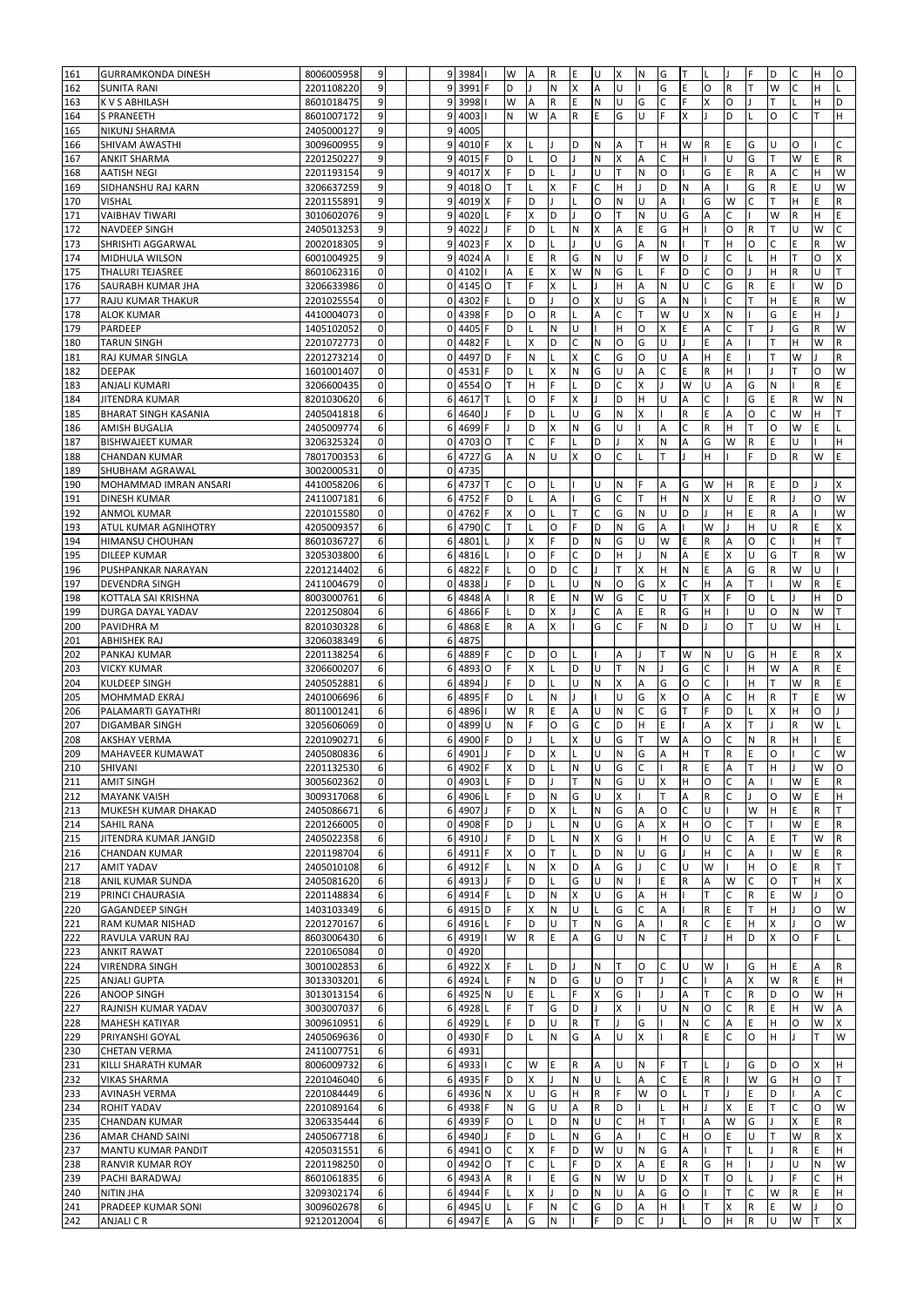| 161 | <b>GURRAMKONDA DINESH</b>   | 8006005958 | 9            | 9 <sup>1</sup> | 3984              |         | W            | A            | R           | E            | U                       | X            | N         | G                         | T            | L            |              | F  | D         | C  | н  | O            |
|-----|-----------------------------|------------|--------------|----------------|-------------------|---------|--------------|--------------|-------------|--------------|-------------------------|--------------|-----------|---------------------------|--------------|--------------|--------------|----|-----------|----|----|--------------|
| 162 | <b>SUNITA RANI</b>          | 2201108220 | 9            | $\overline{9}$ | 3991              |         | D            |              | N           | X            | A                       | U            |           | G                         | Ε            | O            | R            |    | W         | C  | Н  |              |
| 163 | K V S ABHILASH              | 8601018475 | 9            | 9              | 3998              |         | W            | А            | $\mathsf R$ | Ε            | $\mathsf{N}$            | U            | G         | C                         | F            | X            | O            |    | т         |    | н  | D            |
| 164 | <b>S PRANEETH</b>           | 8601007172 | 9            | $\overline{9}$ | 4003              |         | N            | W            | A           | $\mathsf{R}$ | E                       | G            | U         | F                         | X            |              | D            |    | O         | C  | т  | H            |
| 165 | NIKUNJ SHARMA               | 2405000127 | 9            | 9              | 4005              |         |              |              |             |              |                         |              |           |                           |              |              |              |    |           |    |    |              |
| 166 | <b>SHIVAM AWASTHI</b>       | 3009600955 | 9            | $\overline{9}$ | 4010              | F       | X            |              |             | D            | $\mathsf{N}$            | Α            | т         | H                         | W            | R            | E            | G  | U         | O  |    | Ċ            |
|     |                             |            |              | 9              | 4015              |         | D            |              | O           |              | N                       | x            | A         | C                         | Н            |              | U            | G  | т         | W  | E  | R            |
| 167 | <b>ANKIT SHARMA</b>         | 2201250227 | 9            |                |                   |         | F            |              |             |              |                         |              |           |                           |              |              | F            |    |           |    |    |              |
| 168 | <b>AATISH NEGI</b>          | 2201193154 | 9            | 9              | 4017              |         |              | D            |             |              | U                       |              | N         | $\circ$                   |              | G            |              | R  | A         | C  | Н  | W            |
| 169 | SIDHANSHU RAJ KARN          | 3206637259 | 9            | 9              | 4018 O            |         | т            | $\mathbf{I}$ | X           | F            | $\mathsf{C}$            | н            |           | D                         | N            | A            |              | G  | ${\sf R}$ | E  | U  | W            |
| 170 | <b>VISHAL</b>               | 2201155891 | 9            | 9              | 4019              | X       | Ë            | D            |             |              | $\circ$                 | ${\sf N}$    | <b>U</b>  | A                         |              | G            | W            | Ċ  |           | Η  | E  | R            |
| 171 | <b>VAIBHAV TIWARI</b>       | 3010602076 | 9            | 9              | 4020              |         | F            | Χ            | D           |              | O                       | T            | N         | U                         | G            | A            | C            |    | W         | R  | Η  | E            |
| 172 | <b>NAVDEEP SINGH</b>        | 2405013253 | 9            | 9              | 4022              |         | F            | D            |             | N            | X                       | Α            | E         | G                         | Н            |              | $\circ$      | R  | T         | Ù  | W  | Ċ            |
| 173 | SHRISHTI AGGARWAL           | 2002018305 | 9            | 9              | 4023              | F       | X            | D            |             |              | U                       | G            | Α         | N                         |              | т            | H            | O  | С         | E  | R  | W            |
| 174 | MIDHULA WILSON              | 6001004925 | 9            | 9              | 4024              | А       |              | E            | ${\sf R}$   | G            | N                       | U            | E         | W                         | D            |              | Ċ            |    | H         | T  | O  | X            |
| 175 | <b>THALURI TEJASREE</b>     | 8601062316 | $\mathbf 0$  | $\mathbf 0$    | 4102              |         | А            | E            | X           | W            | N                       | G            |           |                           | D            | C            | O            |    | H         | R  | U  | T            |
| 176 | SAURABH KUMAR JHA           | 3206633986 | $\pmb{0}$    | $\mathbf{0}$   | 4145              | $\circ$ | T            | F            | X           |              | $\mathbf{I}$            | H            | A         | N                         | U            | C            | G            | R  | E         |    | W  | D            |
| 177 | RAJU KUMAR THAKUR           | 2201025554 | $\pmb{0}$    | $\mathbf 0$    | 4302              |         |              | D            |             | O            | $\mathsf{\overline{X}}$ | U            | G         | A                         | N            |              | C            |    | H         | E  | R  | W            |
| 178 | <b>ALOK KUMAR</b>           | 4410004073 | 0            | $\mathbf 0$    | 4398              |         | D            | O            | ${\sf R}$   |              | А                       | C            | т         | W                         | U            | X            | N            |    | G         | E  | Н  |              |
| 179 | PARDEEP                     | 1405102052 | 0            | $\Omega$       | 4405              |         | D            |              | N           | U            |                         | Η            | $\circ$   | X                         | E            | A            |              |    |           | G  | R  | W            |
| 180 | <b>TARUN SINGH</b>          | 2201072773 | 0            | 0              | 4482              |         |              | Χ            | D           | Ċ            | N                       | O            | G         | Ù                         |              | E            | А            |    |           | Н  | W  | R            |
| 181 | RAJ KUMAR SINGLA            | 2201273214 | $\mathbf 0$  | $\Omega$       | 4497              | D       | F            | N            |             | X            | C                       | G            | O         | Ù                         | A            | Η            | E            |    |           | W  |    | R            |
| 182 | <b>DEEPAK</b>               | 1601001407 | $\pmb{0}$    | $\mathbf 0$    | 4531              |         | D            |              | Χ           | N            | G                       | U            | А         | C                         | E            | $\mathsf R$  | H            |    |           |    | O  | W            |
| 183 | <b>ANJALI KUMARI</b>        | 3206600435 | $\pmb{0}$    | $\Omega$       | 4554              | $\circ$ |              | н            |             |              | D                       | C            | X         |                           | W            | U            | Α            | G  | N         |    | R  | E            |
| 184 | JITENDRA KUMAR              | 8201030620 | 6            | 6              | 4617              |         | L            | O            | F           | X            | $\mathbf{I}$            | D            | H         | U                         | A            | $\mathsf{C}$ |              | G  | Ε         | R  | W  | N            |
| 185 | <b>BHARAT SINGH KASANIA</b> | 2405041818 | 6            | 6              | 4640              |         | F            | D            |             | U            | G                       | N            | Χ         |                           | ${\sf R}$    | E            | A            | O  | C         | W  | н  | Т            |
| 186 | <b>AMISH BUGALIA</b>        | 2405009774 | 6            | 6              | 4699              | F       |              | D            | x           | N            | G                       | U            |           | А                         | C            | R            | H            |    | O         | W  | E  |              |
| 187 | <b>BISHWAJEET KUMAR</b>     | 3206325324 | $\pmb{0}$    | $\mathbf{0}$   | 4703 O            |         | Т            | C            | F           |              | D                       |              | Χ         | N                         | A            | G            | W            | R  | E         | U  |    | н            |
| 188 | <b>CHANDAN KUMAR</b>        | 7801700353 | 6            | 6              | 4727              | G       | A            | N            | U           | $\times$     | O                       | C            |           | T                         | T            | Н            |              | F  | D         | R  | W  | E            |
| 189 | SHUBHAM AGRAWAL             | 3002000531 | $\pmb{0}$    | $\mathbf{0}$   | 4735              |         |              |              |             |              |                         |              |           |                           |              |              |              |    |           |    |    |              |
| 190 | MOHAMMAD IMRAN ANSARI       | 4410058206 | 6            | 6              | 4737              | т       | C            | O            |             |              | U                       | $\mathsf{N}$ | F         | A                         | G            | W            | H            | R  | Ε         | D  |    | Χ            |
| 191 | <b>DINESH KUMAR</b>         | 2411007181 | 6            | 6              | 4752              |         | D            |              | A           |              | G                       | C            | т         | H                         | N            | X            | U            | E  | R         |    | O  | W            |
| 192 | <b>ANMOL KUMAR</b>          | 2201015580 | $\mathbf 0$  | 0              | 4762              |         | Χ            | O            |             | т            | C                       | G            | N         | U                         | D            |              | H            | F  | R         | Α  |    | W            |
| 193 | ATUL KUMAR AGNIHOTRY        | 4205009357 | 6            | 6              | 4790              |         | T            |              | O           | F            | D                       | N            | G         | A                         |              | W            |              | н  | U         | R  | Ë  | Χ            |
| 194 | <b>HIMANSU CHOUHAN</b>      | 8601036727 | 6            | 6              | 4801              |         |              | Χ            | F           | D            | $\mathsf{N}$            | G            | U         | W                         | E            | $\mathsf R$  | A            | O  | C         |    | Н  | T            |
| 195 | <b>DILEEP KUMAR</b>         | 3205303800 | 6            | 6              | 4816              |         |              | O            | F           | C            | D                       | н            |           | N                         | A            | E            | $\mathsf{x}$ | U. | G         | T  | R  | W            |
| 196 | PUSHPANKAR NARAYAN          | 2201214402 | 6            | 6              | 4822              | F       |              | O            | D           | $\mathsf{C}$ |                         | T            | X         | H                         | N            | E            | A            | G  | R         | W  | U  |              |
| 197 | <b>DEVENDRA SINGH</b>       | 2411004679 | $\pmb{0}$    | $\mathbf{0}$   | 4838              |         | F            | D            |             | $\cup$       | N                       | $\circ$      | G         | X                         | C            | Η            | A            |    |           | W  | R  | E            |
| 198 | KOTTALA SAI KRISHNA         | 8003000761 | 6            | 6              | 4848              | A       |              | R            | E           | N            | W                       | G            | C         | Ù                         | т            | X            | E            | 0  |           |    | Н  | D            |
| 199 | <b>DURGA DAYAL YADAV</b>    | 2201250804 | 6            | 6              | 4866              | F       |              | D            | X           |              | C                       | А            | E         | R                         | G            | H            |              | U  | O         | N  | W  | T            |
| 200 | PAVIDHRA M                  | 8201030328 | 6            | 6              | 4868              | E       | R            | A            | X           |              | G                       | C            | F         | N                         | D            |              | $\circ$      |    | U         | W  | Н  |              |
| 201 | <b>ABHISHEK RAJ</b>         | 3206038349 | 6            | 6              | 4875              |         |              |              |             |              |                         |              |           |                           |              |              |              |    |           |    |    |              |
| 202 | PANKAJ KUMAR                | 2201138254 | 6            | 6              | 4889              | F       | C            | D            | $\circ$     |              |                         | A            |           | T                         | W            | N            | U            | G  | H         | E  | R  | X            |
| 203 | <b>VICKY KUMAR</b>          | 3206600207 | 6            | 6              | 4893              | $\circ$ | F            | Χ            |             | D            | U                       | T            | N         |                           | G            | $\mathsf{C}$ |              | H  | W         | A  | R  | E            |
| 204 | <b>KULDEEP SINGH</b>        | 2405052881 | 6            | 6              | 4894              |         | Ë            | D            |             | Ü            | N                       | X            | Α         | G                         | O            | C            |              | н  |           | W  | R  | E            |
| 205 | MOHMMAD EKRAJ               | 2401006696 | 6            | 6              | 4895              |         | D            |              | N           |              |                         | U            | G         |                           | O            | A            |              | Η  | R         |    | Ė  | W            |
| 206 | PALAMARTI GAYATHRI          | 8011001241 | 6            | 6              | 4896              |         | W            | R            | Ε           | А            | Ù                       | N            | C         | G                         |              |              | D            |    | x         | н  | O  |              |
| 207 | DIGAMBAR SINGH              | 3205606069 | $\mathbf 0$  | 0              | 4899              | U       | Ν            |              | O           | G            | C                       | D            | Н         | E                         |              | Α            | X            |    |           | R  | W  |              |
| 208 | <b>AKSHAY VERMA</b>         | 2201090271 | 6            | 6              | 4900              |         | D            |              |             | Χ            | U                       | G            |           | W                         | А            | O            | C            | N  | R         | н  |    | E            |
| 209 | MAHAVEER KUMAWAT            | 2405080836 | 6            | 6              | 4901              |         | F            | D            | X           |              | Ù                       | N            | G         | A                         | H            | T            | ${\sf R}$    | E  | O         |    | C  | W            |
| 210 | SHIVANI                     | 2201132530 | 6            |                | 6 4902 F          |         | X            | D            | L           | N            | U                       | G            | C         | Ш                         | R            | E            | Α            | IΤ | H         |    | W  | O            |
| 211 | <b>AMIT SINGH</b>           | 3005602362 | $\mathbf 0$  | 0              | 4903              |         | F            | D            |             | T            | $\mathsf{N}$            | G            | U         | $\boldsymbol{\mathsf{x}}$ | H            | O            | C            | A  |           | W  | E. | $\mathsf R$  |
| 212 | <b>MAYANK VAISH</b>         | 3009317068 | 6            | 6              | 4906              |         | F            | D            | N           | G            | U                       | X            |           | T                         | Α            | R            | C            |    | O         | W  | E  | H            |
| 213 | MUKESH KUMAR DHAKAD         | 2405086671 | 6            | 6              | 4907              |         | F            | D            | x           | L            | N                       | G            | Α         | O                         | $\mathsf{C}$ | U            |              | W  | н         | E  | R  | т            |
| 214 | <b>SAHIL RANA</b>           | 2201266005 | $\mathbf 0$  | 0              | 4908              |         | D            |              |             | N            | U                       | G            | A         | X                         | Н            | O            | C            | Т  |           | W  | E  | $\mathsf{R}$ |
| 215 | JITENDRA KUMAR JANGID       | 2405022358 | 6            | 6              | 4910              |         | F            | D            |             | N            | X                       | G            |           | H                         | O            | U            | C            | A  | Ε         | T  | W  | $\mathsf{R}$ |
| 216 | <b>CHANDAN KUMAR</b>        | 2201198704 | 6            | 6              | 4911              |         | X            | O            | т           |              | D                       | ${\sf N}$    | U         | G                         |              | н            | C            | A  |           | W  | E  | $\mathsf R$  |
| 217 | <b>AMIT YADAV</b>           | 2405010108 | 6            | 6              | 4912              |         |              | Ν            | X           | D            | A                       | G            |           | C                         | U            | W            |              | н  | O         | E  | R  | T            |
| 218 | ANIL KUMAR SUNDA            | 2405081620 | 6            | 6              | 4913              |         | F            | D            |             | G            | U                       | N            |           | E                         | R            | Α            | W            | C  | O         | T. | н  | X            |
| 219 | PRINCI CHAURASIA            | 2201148834 | 6            | 6              | 4914 F            |         | L            | D            | N           | X            | U                       | G            | А         | H                         |              | T            | C            | R  | Ε         | W  |    | O            |
| 220 | <b>GAGANDEEP SINGH</b>      | 1403103349 | 6            | 6              | 4915 <sub>D</sub> |         | F            | Χ            | N           | U            | I.                      | G            | C         | А                         |              | $\mathsf R$  | E            |    | н         |    | O  | W            |
| 221 | RAM KUMAR NISHAD            | 2201270167 | 6            | 6              | 4916              |         | F            | D            | U           | T            | N                       | G            | А         |                           | $\mathsf{R}$ | C            | E            | H  | Χ         |    | O  | W            |
| 222 | RAVULA VARUN RAJ            | 8603006430 | 6            | 6              | 4919              |         | W            | $\mathsf R$  | E           | Α            | G                       | U            | ${\sf N}$ | C                         | т            |              | н            | D  | X         | O  | F  |              |
| 223 | <b>ANKIT RAWAT</b>          | 2201065084 | $\mathbf 0$  | $\mathbf 0$    | 4920              |         |              |              |             |              |                         |              |           |                           |              |              |              |    |           |    |    |              |
| 224 | <b>VIRENDRA SINGH</b>       | 3001002853 | 6            | 6              | 4922              | X       | F            |              | D           |              | N                       | T            | O         | С                         | U            | W            |              | G  | н         | E  | А  | $\mathsf R$  |
| 225 | <b>ANJALI GUPTA</b>         | 3013303201 | 6            | 6              | 4924              |         | F            | Ν            | D           | G            | U                       | O            | T         |                           | C            |              | Α            | x  | W         | R  | E  | H            |
| 226 | ANOOP SINGH                 | 3013013154 | 6            | 6              | 4925              | N       | U            | E            |             | F            | X                       | G            |           |                           | A            | T            | $\mathsf{C}$ | R  | D         | O  | W  | H            |
| 227 | RAJNISH KUMAR YADAV         | 3003007037 | 6            | 6              | 4928              |         | F            | т            | G           | D            |                         | Χ            |           | U                         | N            | O            | C            | R  | E         | н  | W  | А            |
| 228 | MAHESH KATIYAR              | 3009610951 | 6            | 6              | 4929              |         | F            | D            | U           | R            | T                       |              | G         |                           | Ν            | C            | А            | Ë  | н         | O  | W  | X            |
| 229 | PRIYANSHI GOYAL             | 2405069636 | 0            | $\mathbf{0}$   | 4930              | F       | D            |              | N           | G            | Α                       | Ù            | X         |                           | R            | E            |              | O  | H         |    |    | W            |
| 230 | <b>CHETAN VERMA</b>         | 2411007751 | 6            | 6              | 4931              |         |              |              |             |              |                         |              |           |                           |              |              |              |    |           |    |    |              |
| 231 | KILLI SHARATH KUMAR         | 8006009732 | 6            | 6              | 4933              |         | С            | W            | E           | R            | Α                       | U            | ${\sf N}$ | F                         |              |              |              | G  | D         | О  | x  | H            |
| 232 | <b>VIKAS SHARMA</b>         | 2201046040 | 6            | 6              | 4935              | IF      | D            | Χ            |             | N            | U                       |              | А         | C                         | Ε            | R            |              | W  | G         | н  | 0  | Т            |
| 233 | AVINASH VERMA               | 2201084449 | 6            | 6              | 4936 N            |         | X            | U            | G           | H            | $\mathsf R$             | F            | W         | O                         | Г            | т            |              | E  | D         |    | А  | C            |
| 234 | <b>ROHIT YADAV</b>          | 2201089164 | 6            | 6              | 4938              | l F     | N            | G            | U           | Α            | R                       | D            |           | L                         | н            |              | Χ            | Ε  | т         | С  | O  | W            |
| 235 | <b>CHANDAN KUMAR</b>        | 3206335444 | 6            | 6              | 4939              | IF      | O            |              | D           | N            | U                       | C            | н         | Т                         |              | Α            | W            | G  |           | X  | E  | R            |
| 236 | AMAR CHAND SAINI            | 2405067718 | 6            | 6              | 4940              |         | F            | D            |             | Ν            | G                       | Α            |           | C                         | н            | O            | E            | U  | T         | W  | R  | x            |
| 237 | MANTU KUMAR PANDIT          | 4205031551 | 6            | 6              | 4941 <sub>0</sub> |         | $\mathsf{C}$ | Χ            | F           | D            | W                       | U            | ${\sf N}$ | G                         | Α            |              | т            |    |           | R  | E  | H            |
| 238 | <b>RANVIR KUMAR ROY</b>     | 2201198250 | $\mathbf{0}$ | $\mathbf{0}$   | 4942 <sub>0</sub> |         | T            | C            |             | F            | D                       | X            | Α         | E                         | ${\sf R}$    | G            | H            |    |           | U  | Ν  | W            |
| 239 | PACHI BARADWAJ              | 8601061835 | 6            | 6              | 4943              | А       | R            |              | E           | G            | $\mathsf{N}$            | W            | U         | D                         | $\times$     | T            | O            |    |           | F  | C  | H            |
| 240 | <b>NITIN JHA</b>            | 3209302174 | 6            | 6              | 4944              | F       | L            | x            |             | D            | N                       | U            | Α         | G                         | O            |              |              | C  | W         | R  | E  | H            |
| 241 | PRADEEP KUMAR SONI          | 3009602678 | 6            | 6              | 4945              | lU      | L            | F            | N           | C            | G                       | D            | А         | H                         |              |              | X            | R  | Ε         | W  |    | O            |
| 242 | <b>ANJALI C R</b>           | 9212012004 | 6            | 6              | 4947 E            |         | A            | G            | ${\sf N}$   |              | F                       | D            | C         |                           |              | O            | H            | R  | U         | W  | т  | X            |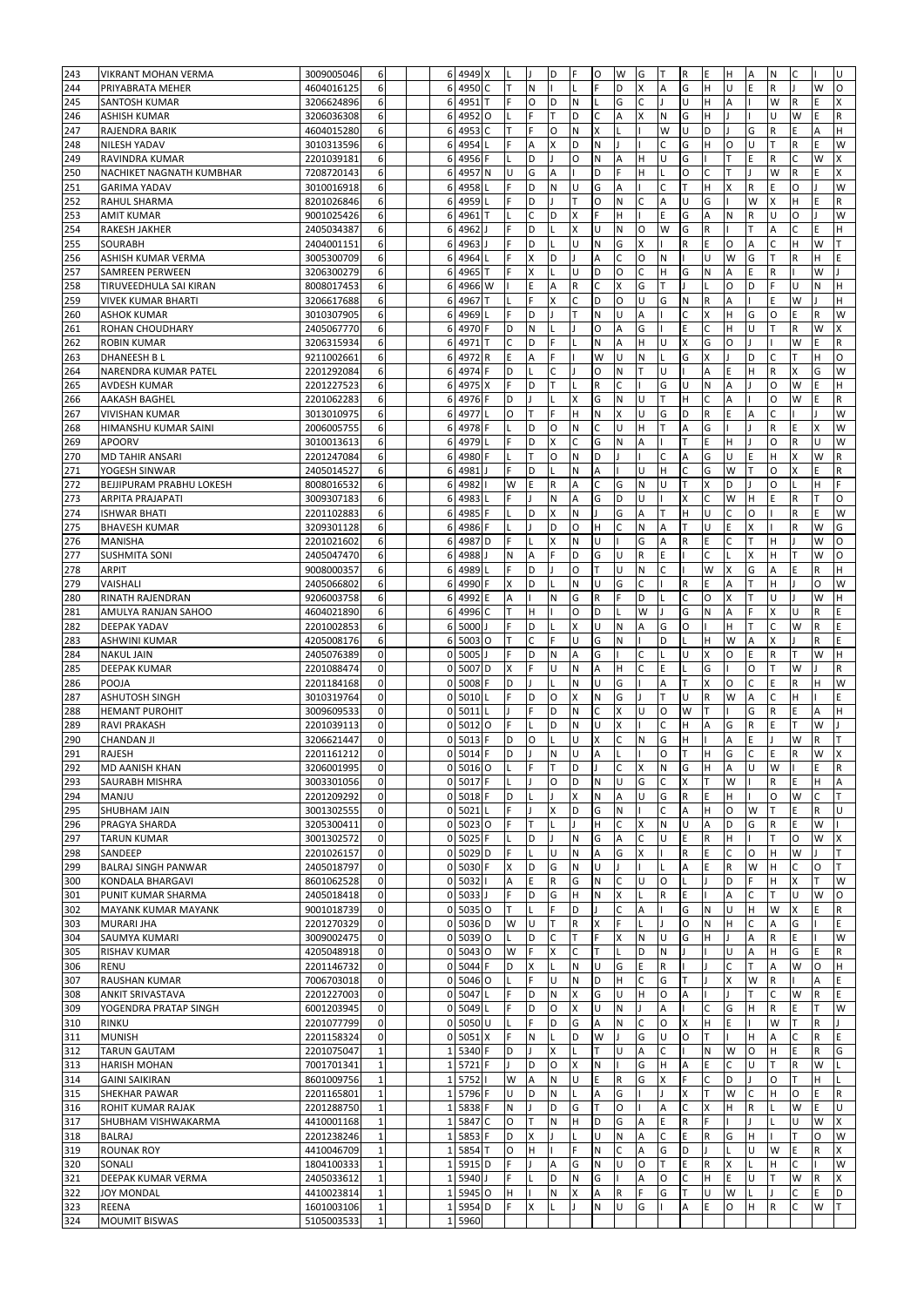| 243        | VIKRANT MOHAN VERMA                  | 3009005046               | 6                           |                | 6 4949 X                    |              | IL  |   | D           | F            | O            | W              | G            | т            | $\mathsf R$               | E            | H            | $\overline{A}$ | N            | С  |              | U            |
|------------|--------------------------------------|--------------------------|-----------------------------|----------------|-----------------------------|--------------|-----|---|-------------|--------------|--------------|----------------|--------------|--------------|---------------------------|--------------|--------------|----------------|--------------|----|--------------|--------------|
| 244        | PRIYABRATA MEHER                     | 4604016125               | 6                           | 6              | 4950                        | $\mathsf{C}$ |     | N |             |              |              | D              | X            | A            | G                         | Η            |              | E              | R            |    | W            | O            |
|            |                                      |                          |                             |                |                             |              |     |   |             |              |              |                |              |              |                           |              |              |                |              |    |              |              |
| 245        | SANTOSH KUMAR                        | 3206624896               | 6                           | 6              | 4951                        | T            | F   | O | D           | $\mathsf{N}$ |              | G              | C            |              | U                         | н            | Α            |                | W            | R  | E            | X            |
| 246        | <b>ASHISH KUMAR</b>                  | 3206036308               | 6                           | 6              | 4952                        | $\circ$      | L   | F | T           | D            | С            | А              | X            | N            | G                         | н            |              |                | U            | W  | E            | R            |
| 247        | RAJENDRA BARIK                       | 4604015280               | 6                           | 6              | 4953                        | C            | Т   | F | O           | N            | X            |                |              | W            | U                         | D            |              | G              | R            | E  | А            | Н            |
| 248        | <b>NILESH YADAV</b>                  | 3010313596               | 6                           | 6              | 4954                        |              | F   | Α | X           | D            | N            |                |              | C            | G                         | Н            | O            | U              | T            | R  | E            | W            |
| 249        | <b>RAVINDRA KUMAR</b>                | 2201039181               | 6                           | 6              | 4956                        | F            | L   | D | J.          | $\circ$      | N            | A              | H            | U            | G                         |              | ΙT           | E              | R            | C  | W            | X            |
| 250        | NACHIKET NAGNATH KUMBHAR             | 7208720143               | 6                           | 6              | 4957                        | N            | U   | G | A           |              | D            | F              | H            |              | $\circ$                   | C            | ΙT           |                | W            | R  | E.           | X            |
|            |                                      |                          |                             |                |                             |              |     |   |             |              |              |                |              |              |                           |              |              |                |              |    |              |              |
| 251        | <b>GARIMA YADAV</b>                  | 3010016918               | 6                           | 6              | 4958                        |              | F   | D | N           | U            | G            | A              |              | $\mathsf{C}$ | T                         | Н            | X            | R              | E            | O  |              | W            |
| 252        | RAHUL SHARMA                         | 8201026846               | 6                           | 6              | 4959                        |              | F   | D |             | T            | O            | N              | C            | A            | U                         | G            |              | W              | X            | H  | E            | R            |
| 253        | <b>AMIT KUMAR</b>                    | 9001025426               | 6                           | 6              | 4961                        |              |     | C | D           | X            | Ë            | н              |              | E            | G                         | A            | N            | R              | U            | O  |              | W            |
| 254        | <b>RAKESH JAKHER</b>                 | 2405034387               | 6                           | 6              | 4962                        |              | F   | D |             | X            | Ü            | N              | $\circ$      | W            | G                         | $\mathsf{R}$ |              |                | A            | C  | E            | Н            |
| 255        | <b>SOURABH</b>                       | 2404001151               | 6                           | 6              | 4963                        |              | F   | D |             | U            | ${\sf N}$    | G              | X            |              | ${\sf R}$                 | E            | $\circ$      | A              | $\mathsf{C}$ | Η  | W            | T            |
| 256        | ASHISH KUMAR VERMA                   | 3005300709               | 6                           | 6              | 4964                        |              | F   | X | D           |              | A            | Ċ              | O            | N            |                           | U            | W            | G              | T            | R  | Н            | E            |
|            |                                      |                          |                             |                |                             | T            | F   |   |             | U            | D            | $\circ$        | $\mathsf{C}$ | H            | G                         | N            | A            | E              |              |    | W            |              |
| 257        | <b>SAMREEN PERWEEN</b>               | 3206300279               | 6                           | 6              | 4965                        |              |     | Χ |             |              |              |                |              |              |                           |              |              |                | $\mathsf R$  |    |              |              |
| 258        | TIRUVEEDHULA SAI KIRAN               | 8008017453               | 6                           | 6              | 4966 W                      |              |     | E | A           | $\mathsf R$  | C            | X              | G            | т            |                           |              | O            | D              | F            | U  | N            | Н            |
| 259        | <b>VIVEK KUMAR BHARTI</b>            | 3206617688               | 6                           | 6              | 4967                        | T            |     | Ë | X           | C            | D            | O              | U            | G            | N                         | R            | A            |                | F            | W  |              | Н            |
| 260        | <b>ASHOK KUMAR</b>                   | 3010307905               | 6                           | 6              | 4969                        |              |     | D |             | T            | N            | U              | А            |              | C                         | X            | H            | G              | O            | E  | R            | W            |
| 261        | ROHAN CHOUDHARY                      | 2405067770               | 6                           | 6              | 4970                        | F            | D   | N |             |              | O            | $\overline{A}$ | G            |              | Ε                         | C            | H            | U              | T            | R  | W            | X            |
| 262        | <b>ROBIN KUMAR</b>                   | 3206315934               | 6                           | 6              | 4971                        |              | Ċ   | D | F           |              | N            | A              | H            | U            | $\overline{\mathsf{x}}$   | G            | O            |                |              | W  | E.           | R            |
| 263        | <b>DHANEESH BL</b>                   | 9211002661               | 6                           | 6              | 4972                        | $\mathsf R$  | E   | A | E           |              | W            | Ù              | N            |              | G                         | X            |              | D              | C            |    | H            | O            |
|            |                                      |                          |                             |                |                             |              | D   |   |             |              |              |                |              |              |                           |              |              |                |              |    |              | W            |
| 264        | NARENDRA KUMAR PATEL                 | 2201292084               | 6                           | 6              | 4974                        |              |     |   |             |              | O            | N              |              | U            |                           | A            | E            | Η              | $\mathsf{R}$ | X  | G            |              |
| 265        | <b>AVDESH KUMAR</b>                  | 2201227523               | 6                           | 6              | 4975                        | X            | Ë   | D |             |              | R            | Ċ              |              | G            | Ù                         | N            | A            |                | O            | W  | Ė            | н            |
| 266        | AAKASH BAGHEL                        | 2201062283               | 6                           | 6              | 4976                        |              | D   |   |             | X            | G            | Ν              | U            | Т            | H                         | C            | A            |                | O            | W  | E            | R            |
| 267        | <b>VIVISHAN KUMAR</b>                | 3013010975               | 6                           | 6              | 4977                        |              | O   |   | F           | Н            | N            | X              | U            | G            | D                         | R            | E            | A              | C            |    |              | W            |
| 268        | HIMANSHU KUMAR SAINI                 | 2006005755               | 6                           | 6              | 4978                        |              |     | D | O           | N            | C            | U              | H            |              | Α                         | G            |              |                | ${\sf R}$    | E  |              | W            |
| 269        | <b>APOORV</b>                        | 3010013613               | 6                           | 6              | 4979                        |              | F   | D | Χ           | C            | G            | N              | А            |              | т                         | E            | н            |                | O            | R  | U            | W            |
| 270        | <b>MD TAHIR ANSARI</b>               | 2201247084               | 6                           | 6              | 4980                        |              | L   | т | O           | ${\sf N}$    | D            |                |              | C            | Α                         | G            | U            | E              | H            | Χ  | W            | R            |
|            |                                      |                          |                             |                |                             |              |     |   |             |              |              |                |              |              |                           |              |              |                |              |    |              |              |
| 271        | YOGESH SINWAR                        | 2405014527               | 6                           | 6              | 4981                        |              | F   | D |             | N            | Α            |                | U            | H            | C                         | G            | W            |                | O            | X  | E            | R            |
| 272        | BEJJIPURAM PRABHU LOKESH             | 8008016532               | 6                           | 6              | 4982                        |              | W   | Ε | $\mathsf R$ | Α            | С            | G              | N            | U            | T                         | X            | D            |                | O            |    | н            | F            |
| 273        | <b>ARPITA PRAJAPATI</b>              | 3009307183               | 6                           | 6              | 4983                        |              | F   |   | ${\sf N}$   | Α            | G            | D              | U            |              | X                         | C            | W            | H              | E            | R  | т            | O            |
| 274        | <b>ISHWAR BHATI</b>                  | 2201102883               | 6                           | 6              | 4985                        | F            |     | D | X           | N            | T            | G              | A            | ΙT           | H                         | U            | C            | $\circ$        |              | R  | E            | W            |
| 275        | <b>BHAVESH KUMAR</b>                 | 3209301128               | 6                           | 6              | 4986                        | F            | L   |   | D           | $\circ$      | H            | Ċ              | N            | A            | Iт                        | U            | E            | <b>X</b>       |              | R  | W            | G            |
| 276        | MANISHA                              | 2201021602               | 6                           | 6              | 4987                        | D            | F   |   | x           | $\mathsf{N}$ | U            |                | G            | A            | R                         | E            | C            | lΤ             | H            |    | W            | O            |
|            |                                      |                          |                             |                |                             |              | N   |   | Ė           | D            | G            | Ü              | $\mathsf R$  | E            |                           | Ċ            |              | X              | H            |    | W            | $\circ$      |
| 277        | <b>SUSHMITA SONI</b>                 | 2405047470               | 6                           | 6              | 4988                        |              |     | A |             |              |              |                |              |              |                           |              |              |                |              |    |              |              |
| 278        | <b>ARPIT</b>                         | 9008000357               | 6                           | 6              | 4989                        |              | F   | D |             | $\circ$      | т            | U              | N            | C            |                           | W            | X            | G              | Α            | Ë  | R            | Н            |
| 279        | VAISHALI                             | 2405066802               | 6                           | 6              | 4990                        |              | X   | D |             | N            | U            | G              | $\mathsf{C}$ |              | ${\sf R}$                 | E            | A            |                | H            |    | Ō            | W            |
| 280        | <b>RINATH RAJENDRAN</b>              | 9206003758               | 6                           | 6              | 4992                        | E            | Α   |   | N           | G            | R            | E              | D            |              | $\mathsf{C}$              | O            | X            | T              | U            |    | W            | Н            |
| 281        | AMULYA RANJAN SAHOO                  | 4604021890               | 6                           | 6              | 4996                        | C            | T   | Η |             | $\circ$      | D            |                | W            |              | G                         | N            | A            | F              | X            | U  | R            | E            |
| 282        | <b>DEEPAK YADAV</b>                  | 2201002853               | 6                           | 6              | 5000                        |              | F   | D |             | X            | U            | N              | A            | G            | $\circ$                   |              | H            | Iт             | $\mathsf{C}$ | W  | R            | E            |
| 283        | <b>ASHWINI KUMAR</b>                 | 4205008176               | 6                           | 6              | 5003 O                      |              | T   | C | F           | U            | G            | N              |              | D            |                           | Н            | W            | A              | X            |    | R            | E            |
|            |                                      |                          |                             |                |                             |              |     |   |             |              |              |                |              |              |                           |              |              |                |              |    |              |              |
|            |                                      |                          |                             |                |                             |              |     |   |             |              |              |                |              |              |                           |              |              |                |              |    |              |              |
| 284        | <b>NAKUL JAIN</b>                    | 2405076389               | $\pmb{0}$                   | $\mathbf{0}$   | 5005                        |              | F   | D | N           | Α            | G            |                | C            |              | U                         | X            | O            | E              | ${\sf R}$    |    | W            | Н            |
| 285        | <b>DEEPAK KUMAR</b>                  | 2201088474               | $\pmb{0}$                   | $\mathbf 0$    | 5007                        | D            | X   |   | U           | N            | A            | Η              | C            | E            |                           | G            |              | O              | T            | W  |              | R            |
| 286        | POOJA                                | 2201184168               | $\pmb{0}$                   | $\mathbf{0}$   | 5008                        | F            | D   |   |             | N            | U            | G              |              | A            | Iт                        | X            | O            | $\mathsf{C}$   | E            | R  | н            | W            |
| 287        | <b>ASHUTOSH SINGH</b>                | 3010319764               | $\pmb{0}$                   | $\mathbf{0}$   | 5010                        |              | F   | D | O           | $\times$     | N            | G              |              | T            | U                         | R            | W            | A              | C            | H  |              | E            |
|            | <b>HEMANT PUROHIT</b>                | 3009609533               | 0                           | $\Omega$       | 5011                        |              |     | E | D           | N            | C            | X              | U            | $\circ$      | W                         |              |              | G              | $\mathsf{R}$ | E  | А            | н            |
| 288        |                                      |                          |                             |                |                             |              |     |   |             |              |              | x              |              |              |                           | A            |              |                |              |    |              |              |
| 289        | <b>RAVI PRAKASH</b>                  | 2201039113               | 0                           | 0              | 5012                        | $\circ$      |     |   | D           | N            | U            |                |              | Ċ            | H                         |              | G            | $\overline{R}$ | E            |    | W            |              |
| 290        | <b>CHANDAN JI</b>                    | 3206621447               | $\mathbf{0}$                | $\Omega$       | 5013                        | F            | D   | O |             | Ü            | Χ            | Ċ              | N            | G            | н                         |              | А            | E              |              | W  | R            |              |
| 291        | <b>RAJESH</b>                        | 2201161212               | 0                           | $\mathbf{0}$   | 5014                        | F            | D   |   | ${\sf N}$   | U            | Α            |                |              | $\circ$      | T                         | н            | G            | $\mathsf{C}$   | E            | R  | W            | X            |
| 292        | <b>MD AANISH KHAN</b>                | 3206001995               | $\overline{0}$              |                | 0 5016 0                    |              | ΙL  | F | ΙT          | D            | IJ           | C              | x            | N            | l G                       | H            | Α            | ΙU             | W            |    | E            | R            |
| 293        | SAURABH MISHRA                       | 3003301056               | $\pmb{0}$                   |                | 0 5017                      | F            | ٠L. |   | O           | D            | N            | U              | G            | $\mathsf{C}$ | $\boldsymbol{\mathsf{X}}$ |              | W            |                | $\mathsf{R}$ | E  | н            | А            |
| 294        | MANJU                                | 2201209292               | $\pmb{0}$                   | οI             | 5018 F                      |              | D   |   |             | X            | N            | А              | U            | G            | $\mathsf R$               | E            | H            |                | 0            | W  | С            | т            |
| 295        | SHUBHAM JAIN                         | 3001302555               | $\mathbf{0}$                |                | 0 5021                      | L            | F   |   | X           | D            | G            | N              |              | C            | Α                         | н            | O            | W              | T            | E  | R            | U            |
|            |                                      |                          |                             |                |                             |              |     | т |             |              |              |                |              |              |                           |              |              |                |              |    |              |              |
| 296        | PRAGYA SHARDA                        | 3205300411               | $\pmb{0}$                   |                | 0 5023 0                    |              | F   |   |             |              | н            | C              | Χ            | N            | U                         | Α            | D            | G              | $\mathsf R$  | E  | W            |              |
| 297        | <b>TARUN KUMAR</b>                   | 3001302572               | $\mathbf 0$                 |                | 0 5025                      | lF.          | L   | D |             | N            | G            | Α              | $\mathsf{C}$ | U            | E                         | R            | H            |                | T            | O  | W            | X            |
| 298        | SANDEEP                              | 2201026157               | $\mathbf 0$                 |                | 0 5029 D                    |              | F   | L | U           | ${\sf N}$    | Α            | G              | X            |              | $\mathsf R$               | E            | $\mathsf{C}$ | O              | H            | W  |              | T            |
| 299        | <b>BALRAJ SINGH PANWAR</b>           | 2405018797               | $\pmb{0}$                   |                | 0 5030 F                    |              | X   | D | G           | ${\sf N}$    | U            |                |              |              | A                         | E            | $\mathsf R$  | W              | H            | C  | O            | T.           |
| 300        | KONDALA BHARGAVI                     | 8601062528               | $\mathsf{O}\xspace$         | $\mathbf{0}$   | 5032                        |              | А   | E | $\mathsf R$ | G            | $\mathsf{N}$ | C              | U            | <b>O</b>     | IL.                       |              | D            | F              | H            | X  | T.           | W            |
| 301        | PUNIT KUMAR SHARMA                   | 2405018418               | $\pmb{0}$                   | $\mathbf{0}$   | 5033                        |              | F   | D | G           | H            | N            | X              | L            | $\mathsf R$  | E                         |              | A            | C              | lT.          | U  | W            | O            |
| 302        | <b>MAYANK KUMAR MAYANK</b>           | 9001018739               | $\mathsf{O}\xspace$         | 0              | 5035 O                      |              | T.  |   | F           | D            |              | Ċ              | A            |              | G                         | N            | U            | H              | W            | X  | E.           | ${\sf R}$    |
| 303        | <b>MURARI JHA</b>                    | 2201270329               | $\mathsf{O}\xspace$         | $\mathbf 0$    | 5036 D                      |              | W   | U | T           | $\mathsf R$  | X            | F              | L            |              | $\circ$                   | N            | H            | $\mathsf{C}$   | A            | G  |              | E            |
|            |                                      |                          |                             |                |                             |              |     |   |             |              |              |                |              |              |                           |              |              |                |              |    |              |              |
| 304        | SAUMYA KUMARI                        | 3009002475               | $\mathsf{O}\xspace$         |                | 0 5039 0                    |              | L   | D | C           | т            | F            | X              | ${\sf N}$    | lU           | G                         | н            |              | A              | $\mathsf{R}$ | E. |              | W            |
| 305        | <b>RISHAV KUMAR</b>                  | 4205048918               | $\pmb{0}$                   | $\mathbf{0}$   | 5043 O                      |              | W   | F | X           | $\mathsf{C}$ | T            |                | D            | N            |                           |              | U            | A              | H            | G  | E            | $\mathsf{R}$ |
| 306        | <b>RENU</b>                          | 2201146732               | $\mathsf{O}\xspace$         | $\mathbf{0}$   | 5044 F                      |              | D   | Χ |             | N            | U            | G              | E            | $\mathsf R$  |                           |              | Ċ            | T              | Α            | W  | O            | H            |
| 307        | <b>RAUSHAN KUMAR</b>                 | 7006703018               | $\pmb{0}$                   | $\mathbf 0$    | 5046 O                      |              | Г   | F | U           | ${\sf N}$    | D            | H              | $\mathsf C$  | G            | T                         |              | X            | W              | $\mathsf R$  |    | А            | E            |
| 308        | <b>ANKIT SRIVASTAVA</b>              | 2201227003               | $\pmb{0}$                   | $\mathbf 0$    | 5047                        |              | F   | D | N           | X            | G            | U              | H            | O            | A                         |              |              |                | C            | W  | R            | E            |
| 309        | YOGENDRA PRATAP SINGH                | 6001203945               | $\pmb{0}$                   | $\overline{0}$ | 5049                        |              | F   | D | O           | X            | U            | N              |              | A            |                           | C            | G            | H              | R            | E  | т            | W            |
| 310        | <b>RINKU</b>                         | 2201077799               | $\pmb{0}$                   |                | 0 5050 U                    |              | L   | F | D           | G            | А            | N              | $\mathsf C$  | O            | $\boldsymbol{\mathsf{x}}$ | н            | E            |                | W            | T. | $\mathsf{R}$ |              |
|            |                                      |                          |                             | $\mathbf 0$    |                             | X            | F   | N |             | D            | W            |                |              | U            | O                         | T            |              | H              | Α            | C  | R            | E            |
| 311        | <b>MUNISH</b>                        | 2201158324               | $\pmb{0}$                   |                | 5051                        |              |     |   |             |              |              |                | G            |              |                           |              |              |                |              |    |              |              |
| 312        | <b>TARUN GAUTAM</b>                  | 2201075047               | $\mathbf 1$                 | $\mathbf{1}$   | 5340                        |              | D   |   | X           |              | T            | U              | A            | C            |                           | N            | W            | O              | H            | E  | R            | G            |
| 313        | <b>HARISH MOHAN</b>                  | 7001701341               | $\mathbf 1$                 | $\mathbf{1}$   | 5721                        |              |     | D | O           | X            | N            |                | G            | H            | A                         | E            | C            | U              | T            | R  | W            |              |
| 314        | <b>GAINI SAIKIRAN</b>                | 8601009756               | $\mathbf{1}$                | 1              | 5752                        |              | W   | А | N           | U            | E            | R              | G            | X            | F                         | C            | D            |                | O            |    | H            |              |
| 315        | SHEKHAR PAWAR                        | 2201165801               | $\mathbf 1$                 | $\mathbf{1}$   | 5796 F                      |              | U   | D | N           |              | Α            | G              |              |              | X                         |              | W            | C              | H            | O  | E            | R            |
| 316        | ROHIT KUMAR RAJAK                    | 2201288750               | $\mathbf 1$                 | $\mathbf{1}$   | 5838 F                      |              | Ν   |   | D           | G            | T            | O              |              | A            | $\mathsf C$               | X            | H            | $\mathsf R$    |              | W  | E            | U            |
| 317        | SHUBHAM VISHWAKARMA                  | 4410001168               | $\mathbf 1$                 | $\mathbf{1}$   | 5847                        | C            | O   | т | N           | н            | D            | G              | A            | E            | $\mathsf R$               | F            |              |                |              | U  | W            | X            |
| 318        | <b>BALRAJ</b>                        | 2201238246               | $\mathbf 1$                 | $\mathbf{1}$   | 5853                        | F            | D   | X |             |              | U            | N              | А            | C            | E                         | R            | G            | H              |              |    | O            | W            |
|            |                                      |                          | $\mathbf 1$                 | $\mathbf{1}$   |                             | IТ           | O   | н |             | F            | N            | C              | A            |              | D                         |              |              | U              | W            | E  | R            | X            |
| 319        | <b>ROUNAK ROY</b>                    | 4410046709               |                             |                | 5854                        |              |     |   |             |              |              |                |              | G            |                           |              |              |                |              |    |              |              |
| 320        | SONALI                               | 1804100333               | $1\,$                       | 1              | 5915 <sub>D</sub>           |              | F   |   | Α           | G            | N            | U              | O            | т            | Ε                         | R            | X            |                | H            | C  |              | W            |
| 321        | DEEPAK KUMAR VERMA                   | 2405033612               | $\mathbf{1}$                | $\mathbf{1}$   | 5940                        |              | F   |   | D           | $\mathsf{N}$ | G            |                | A            | O            | $\mathsf{C}$              | н            | E            | U              | T            | W  | R            | x            |
| 322        | JOY MONDAL                           | 4410023814               | $\mathbf 1$                 | $\mathbf{1}$   | 5945 O                      |              | H   |   | N           | x            | Α            | R              | F            | G            | lΤ                        | U            | W            |                |              | C  | E.           | D            |
| 323<br>324 | <b>REENA</b><br><b>MOUMIT BISWAS</b> | 1601003106<br>5105003533 | $\mathbf{1}$<br>$\mathbf 1$ | $1\vert$       | 5954 <sub>D</sub><br>1 5960 |              | F   | X | L           | $\mathbf{I}$ | N            | U              | G            |              | A                         | E            | O            | H              | $\mathsf R$  | C  | W            | T            |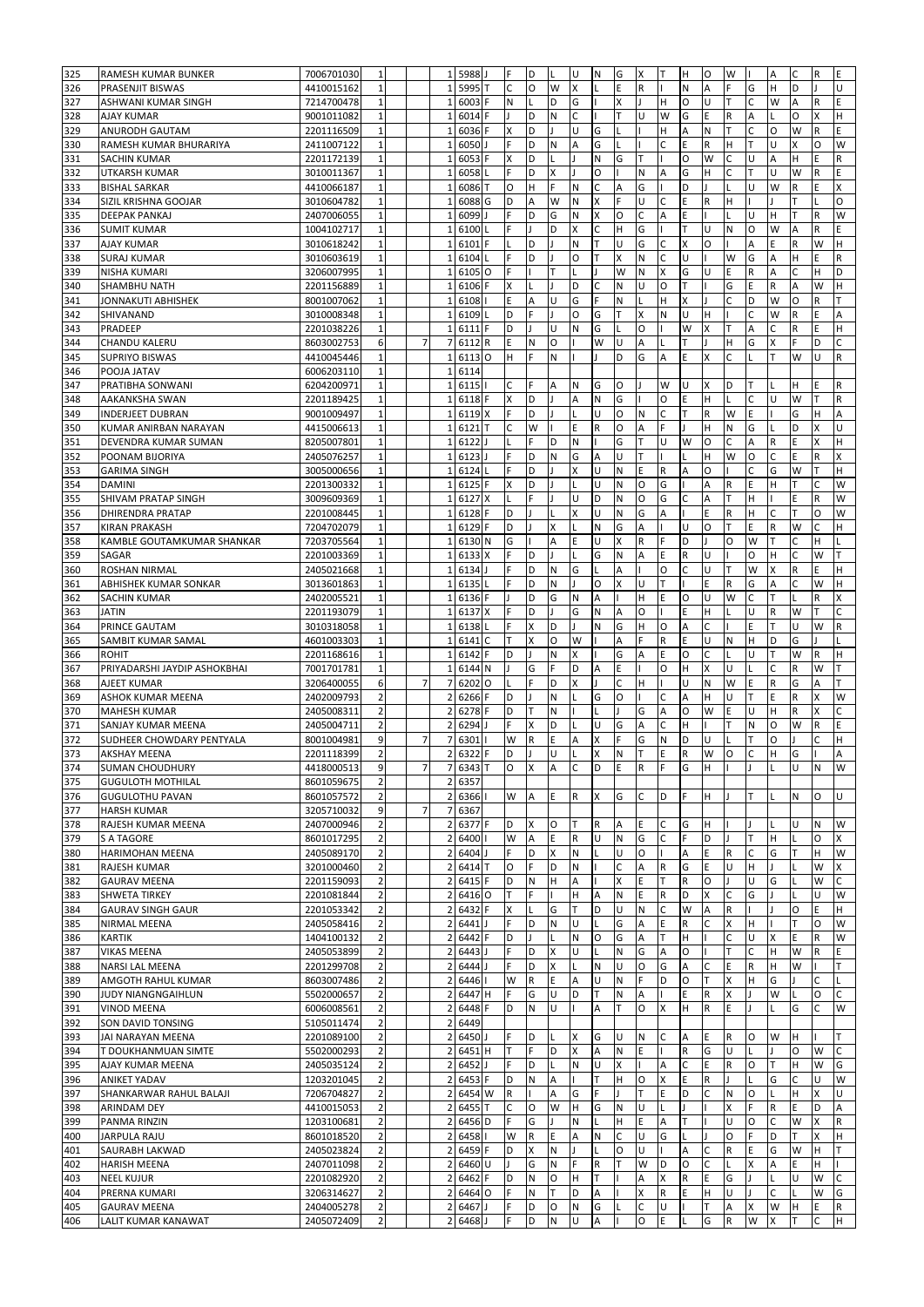| 325        | <b>RAMESH KUMAR BUNKER</b>                 | 7006701030               | $1\,$                                  |                | $\mathbf{1}$                 | 5988         |         | F               | D      | L                         | U        | N                       | G              | x            | т                       | Н            | O            | W                       |              | Α      | C      | R      | E                 |
|------------|--------------------------------------------|--------------------------|----------------------------------------|----------------|------------------------------|--------------|---------|-----------------|--------|---------------------------|----------|-------------------------|----------------|--------------|-------------------------|--------------|--------------|-------------------------|--------------|--------|--------|--------|-------------------|
| 326        | PRASENJIT BISWAS                           | 4410015162               | $\mathbf{1}$                           |                | $\mathbf{1}$                 | 5995         |         | C               | O      | W                         | X        |                         | Ë              | $\mathsf R$  |                         | N            | Α            | F                       | G            | H      | D      |        | U                 |
| 327        | ASHWANI KUMAR SINGH                        | 7214700478               | $\mathbf{1}$                           |                | $\mathbf{1}$                 | 6003         |         | N               | L      | D                         | G        |                         | Χ              |              | H                       | O            | U            |                         | C            | W      | А      | R      | E                 |
| 328        | <b>AJAY KUMAR</b>                          | 9001011082               | $1\,$                                  |                | $\mathbf{1}$                 | 6014         | F       | I.              | D      | N                         | C        |                         |                | U            | W                       | G            | E            | $\mathsf R$             | А            |        | O      | X      | H                 |
| 329        | ANURODH GAUTAM                             | 2201116509               | $\mathbf{1}$                           |                | 1                            | 6036         | F       | X               | D      |                           | U        | G                       |                |              | H                       | A            | N            | т                       | C            | O      | W      | R      | E                 |
| 330        | RAMESH KUMAR BHURARIYA                     | 2411007122               | $\mathbf 1$                            |                | 1                            | 6050         |         | F               | D      | N                         | A        | G                       |                |              | C                       | E            | R            | н                       |              | Ù      | X      | O      | W                 |
| 331        | SACHIN KUMAR                               | 2201172139               | $\mathbf{1}$                           |                | 1                            | 6053         |         | X               | D      |                           |          | N                       | G              |              |                         | $\circ$      | W            | C                       | U            | A      | H      | Ë      | R                 |
| 332        | <b>UTKARSH KUMAR</b>                       | 3010011367               | $\mathbf{1}$                           |                | 1                            | 6058         |         | Ė               | D      | $\boldsymbol{\mathsf{x}}$ |          | O                       |                | N            | A                       | G            | Η            |                         |              | U      | W      | R      | Ė                 |
| 333        | <b>BISHAL SARKAR</b>                       | 4410066187               | 1                                      |                | 1                            | 6086         |         | O               | н      | F                         | N        | C                       | A              | G            |                         | D            |              |                         | U            | W      | R      | E      | Χ                 |
| 334        | SIZIL KRISHNA GOOJAR                       | 3010604782               | $\mathbf{1}$                           |                | $\mathbf{1}$                 | 6088         | G       | D               | A      | W                         | N        | X                       | E              | U            | C                       | E            | $\mathsf{R}$ | H                       |              |        | T      |        | O                 |
| 335        | <b>DEEPAK PANKAJ</b>                       | 2407006055               | $1\,$                                  |                | $\mathbf{1}$                 | 6099         |         | F               | D      | G                         | N        | X                       | $\circ$        | C            | A                       | E            |              |                         | U            | н      | T      | R      | W                 |
| 336        | <b>SUMIT KUMAR</b>                         | 1004102717               | $\mathbf{1}$                           |                | 1                            | 6100         |         | Ë               |        | D                         | X        | Ċ                       | Η              | G            |                         | T            | U            | N                       | O            | W      | Α      | R      | Ė                 |
| 337        | <b>AJAY KUMAR</b>                          | 3010618242               | $\mathbf{1}$                           |                | 1                            | 6101         |         |                 | D      |                           | N        | T                       | U              | G            | C                       | X            | O            |                         | А            | E      | R      | W      | Η                 |
| 338        | <b>SURAJ KUMAR</b>                         | 3010603619               | $\mathbf{1}$                           |                | $\mathbf{1}$                 | 6104         |         | F               | D      |                           | O        | T                       | x              | N            |                         | U            |              | W                       | G            | A      | н      | Ë      | R                 |
| 339        | <b>NISHA KUMARI</b>                        | 3206007995               | $1\,$                                  |                | $\mathbf{1}$                 | 6105         | $\circ$ | F               |        | т                         |          |                         | W              | N            | X                       | G            | U            | E                       | R            | А      | C      | Н      | D                 |
| 340        | <b>SHAMBHU NATH</b>                        | 2201156889               | $\mathbf 1$                            |                | $\mathbf{1}$                 | 6106         | F       | X               |        |                           | D        | C                       | N              | U            | $\circ$                 | T            |              | G                       | E            | R      | Α      | W      | Η                 |
| 341        | <b>JONNAKUTI ABHISHEK</b>                  | 8001007062               | $\mathbf{1}$                           |                | $\mathbf{1}$                 | 6108         |         | E               | A      | U                         | G        | F                       | N              |              | H                       | X            |              | C                       | D            | W      | O      | R      | T                 |
| 342        | SHIVANAND                                  | 3010008348               | $\mathbf{1}$                           |                | $1\,$                        | 6109         |         | D               | E      |                           | $\Omega$ | G                       | T              | X            | N                       | Ù            | H            |                         | Ċ            | W      | R      | Ė      | A                 |
| 343        | PRADEEP                                    | 2201038226               | $\mathbf{1}$                           |                | $\mathbf{1}$                 | 6111         |         | D               |        | U                         | N        | G                       |                | O            |                         | W            | X            |                         | А            | Ċ      | R      | Ë      | Н                 |
| 344        | CHANDU KALERU                              | 8603002753               | 6<br>$\mathbf{1}$                      |                | 7                            | 6112         | R<br>O  | E<br>H          | Ν      | O<br>N                    |          | W                       | U<br>D         | А<br>G       |                         | E            | X            | н<br>$\epsilon$         | G            | X      |        | D<br>Ü | C                 |
| 345<br>346 | <b>SUPRIYO BISWAS</b><br>POOJA JATAV       | 4410045446<br>6006203110 | $\mathbf{1}$                           |                | 1<br>$\mathbf{1}$            | 6113<br>6114 |         |                 |        |                           |          |                         |                |              | А                       |              |              |                         |              |        | W      |        | R                 |
| 347        |                                            | 6204200971               | $\mathbf{1}$                           |                | $\mathbf{1}$                 | 6115         |         | C               | F      | А                         | N        | G                       | O              |              | W                       | U            | x            | D                       |              |        |        | E      | R                 |
| 348        | PRATIBHA SONWANI<br>AAKANKSHA SWAN         | 2201189425               | $\mathbf{1}$                           |                | $\mathbf{1}$                 | 6118         | F       | X               | D      |                           | А        | $\mathsf{N}$            | G              |              | O                       | E            | н            |                         | Ċ            | U      | н<br>W | т      | R                 |
| 349        | <b>INDERJEET DUBRAN</b>                    | 9001009497               | $\mathbf{1}$                           |                | $\mathbf{1}$                 | 6119         | X       | F               | D      |                           |          | U                       | O              | ${\sf N}$    | C                       | т            | R            | W                       | E            |        | G      | н      | A                 |
| 350        | KUMAR ANIRBAN NARAYAN                      | 4415006613               | $\mathbf{1}$                           |                | 1                            | 6121         |         | C               | W      |                           | E        | $\mathsf R$             | O              | Α            | ٠F                      |              | н            | N                       | G            |        | D      | x      | U                 |
| 351        | DEVENDRA KUMAR SUMAN                       | 8205007801               | $\mathbf{1}$                           |                | $\mathbf{1}$                 | 6122         |         | L               | F      | D                         | N        |                         | G              | T            | U                       | W            | O            | C                       | А            | R      | E      | X      | Η                 |
| 352        | POONAM BIJORIYA                            | 2405076257               | $1\,$                                  |                | 1                            | 6123         |         | F               | D      | N                         | G        | A                       | U              | Т            |                         | L            | Н            | W                       | O            | C      | E      | R      | X                 |
| 353        | <b>GARIMA SINGH</b>                        | 3005000656               | $\mathbf 1$                            |                | $\mathbf{1}$                 | 6124         |         | F               | D      |                           | X        | U                       | N              | E            | R                       | A            | O            |                         | Ċ            | G      | W      | т      | H                 |
| 354        | <b>DAMINI</b>                              | 2201300332               | $\mathbf 1$                            |                | 1                            | 6125         | F       | X               | D      |                           |          | U                       | N              | $\circ$      | G                       |              | A            | $\overline{R}$          | E            | H      | T      | C      | W                 |
| 355        | SHIVAM PRATAP SINGH                        | 3009609369               | $\mathbf 1$                            |                | 1                            | 6127         | х       |                 | E      |                           | U        | D                       | N              | $\circ$      | G                       | Ċ            | A            |                         | H            |        | E      | R      | W                 |
| 356        | <b>DHIRENDRA PRATAP</b>                    | 2201008445               | 1                                      |                | 1                            | 6128         |         | D               |        |                           | X        | U                       | ${\sf N}$      | G            | A                       |              | E            | $\mathsf R$             | Η            | C      |        | O      | W                 |
| 357        | <b>KIRAN PRAKASH</b>                       | 7204702079               | $\mathbf{1}$                           |                | 1                            | 6129         |         | D               |        | X                         |          | N                       | G              | A            |                         | U            | O            |                         | F            | R      | W      |        | H                 |
| 358        | KAMBLE GOUTAMKUMAR SHANKAR                 | 7203705564               | $\mathbf{1}$                           |                | 1                            | 6130 N       |         | G               |        | A                         | E        | U                       | X              | ${\sf R}$    |                         | D            |              | $\circ$                 | W            |        | C      | н      |                   |
| 359        | SAGAR                                      | 2201003369               | $\mathbf 1$                            |                | 1                            | 6133         | x       | F               | D      |                           |          | G                       | N              | A            | E                       | $\mathsf{R}$ | U            |                         | $\Omega$     | H      | C      | W      | T                 |
| 360        | ROSHAN NIRMAL                              | 2405021668               | $1\,$                                  |                | $\mathbf{1}$                 | 6134         |         | F               | D      | N                         | G        | I.                      | A              |              | O                       | C            | U            | T                       | W            | X      | R      | E.     | Η                 |
| 361        | ABHISHEK KUMAR SONKAR                      | 3013601863               | $1\,$                                  |                | 1                            | 6135         |         | F               | D      | N                         |          | O                       | X              | U            | T                       |              | E            | $\overline{R}$          | G<br>Ċ       | Α<br>T | C      | W      | Η                 |
| 362<br>363 | <b>SACHIN KUMAR</b><br><b>JATIN</b>        | 2402005521               | $\mathbf{1}$<br>$\mathbf{1}$           |                | $\mathbf{1}$<br>$\mathbf{1}$ | 6136<br>6137 | F<br>X  | F               | D<br>D | G                         | N<br>G   | A<br>N                  | A              | H<br>$\circ$ | E                       | O<br>E       | U<br>H       | W                       | U            | R      | W      | R<br>T | X<br>Ċ            |
| 364        | PRINCE GAUTAM                              | 2201193079<br>3010318058 | $1\,$                                  |                | $\mathbf{1}$                 | 6138         |         | F               | Χ      | D                         |          | N                       | G              | H            | $\circ$                 | A            | C            |                         | Ë            | т      | U      | W      | R                 |
| 365        | SAMBIT KUMAR SAMAL                         | 4601003303               | $\mathbf 1$                            |                | $\mathbf{1}$                 | 6141         | C       | T               | Χ      | O                         | W        |                         | Α              | F            | $\mathsf R$             | Ε            | U            | N                       | H            | D      | G      |        |                   |
| 366        | <b>ROHIT</b>                               | 2201168616               | $\mathbf 1$                            |                | $\mathbf{1}$                 | 6142         | F       | D               |        | N                         | X        |                         | G              | A            | E                       | $\circ$      | C            |                         | U            | T      | W      | R      | H                 |
| 367        | PRIYADARSHI JAYDIP ASHOKBHAI               | 7001701781               | $\mathbf{1}$                           |                | $\mathbf 1$                  | 6144         | N       |                 | G      | F                         | D        | A                       | E              |              | O                       | H            | X            | U                       |              | C      | R      | W      | T                 |
| 368        | AJEET KUMAR                                | 3206400055               | 6                                      | $\overline{7}$ | $\overline{7}$               | 6202         | O       |                 |        | D                         |          |                         | C              | Н            |                         | U            | N            | W                       | Ë            | R      | G      | A      |                   |
| 369        | ASHOK KUMAR MEENA                          | 2402009793               | $\overline{2}$                         |                | 2                            | 6266         |         | D               |        | N                         |          | G                       | O              |              |                         | A            | Η            |                         |              | E      | R      |        | W                 |
| 370        | <b>MAHESH KUMAR</b>                        | 2405008311               | $\overline{2}$                         |                | 2                            | 6278         |         | D               |        | N                         |          |                         |                | G            | A                       | O            | W            | E                       | U            | Н      | R      | X      | C                 |
| 371        | SANJAY KUMAR MEENA                         | 2405004711               | $\overline{2}$                         |                | 2                            | 6294         |         | F               | Χ      | D                         |          | U                       | G              | А            | С                       | Η            |              |                         | N            | O      | W      | R      | E                 |
| 372        | SUDHEER CHOWDARY PENTYALA                  | 8001004981               | 9                                      | $\overline{7}$ | 7                            | 6301         |         | W               | R      | E                         | А        | X                       |                | G            | N                       | D            | Ü            |                         |              | 0      |        | C      | Η                 |
| 373        | <b>AKSHAY MEENA</b>                        | 2201118399               | $\overline{2}$                         |                | $\overline{2}$               | 6322         | F       | D               |        | U                         |          | $\overline{\mathsf{x}}$ | N              | T            | E                       | ${\sf R}$    | W            | O                       | $\mathsf{C}$ | н      | G      |        | Α                 |
| 374        | <b>SUMAN CHOUDHURY</b>                     | 4418000513               | 9                                      | $\overline{7}$ |                              | 7 6343 T     |         | $\circ$         | X      | Α                         | C        | D                       | IE.            | $\mathsf R$  | IF                      | G            | H            | Ш                       | IJ           | L      | U      | N      | W                 |
| 375        | <b>GUGULOTH MOTHILAL</b>                   | 8601059675               | $\overline{2}$                         |                | $\overline{2}$               | 6357         |         |                 |        |                           |          |                         |                |              |                         |              |              |                         |              |        |        |        |                   |
| 376        | <b>GUGULOTHU PAVAN</b>                     | 8601057572               | $\overline{2}$                         |                | $\overline{2}$               | 6366         |         | W               | A      | E                         | R        | X                       | G              | C            | D                       | F            | H            |                         | т            |        | Ν      | 0      | U                 |
| 377        | <b>HARSH KUMAR</b>                         | 3205710032               | 9                                      | 7              | $\overline{7}$               | 6367         |         |                 |        |                           |          |                         |                |              |                         |              |              |                         |              |        |        |        |                   |
| 378<br>379 | RAJESH KUMAR MEENA                         | 2407000946<br>8601017295 | $\mathbf 2$<br>$\overline{\mathbf{c}}$ |                | $\overline{2}$<br>2          | 6377<br>6400 | F       | D<br>W          | X<br>Α | O<br>E                    | т<br>R   | $\mathsf R$<br>U        | Α<br>${\sf N}$ | E<br>G       | С<br>C                  | G<br>F       | н<br>D       |                         |              | н      | U      | N<br>O | W<br>X            |
| 380        | S A TAGORE<br><b>HARIMOHAN MEENA</b>       | 2405089170               | $\overline{\mathbf{c}}$                |                | 2                            | 6404         |         | F               | D      | X                         | N        |                         | U              | O            |                         | A            | E            | $\mathsf{R}$            | C            | G      | т      | Н      | W                 |
| 381        | <b>RAJESH KUMAR</b>                        | 3201000460               | 2                                      |                | 2                            | 6414         |         | O               | F      | D                         | N        |                         | C              | А            | $\overline{R}$          | G            | E            | U                       | H            |        |        | W      | Χ                 |
| 382        | <b>GAURAV MEENA</b>                        | 2201159093               | $\overline{2}$                         |                | $\overline{2}$               | 6415         |         | D               | Ν      | H                         | Α        |                         | X              | E            | T                       | $\mathsf{R}$ | O            |                         | U            | G      |        | W      | C                 |
| 383        | <b>SHWETA TIRKEY</b>                       | 2201081844               | $\overline{2}$                         |                | 2                            | 6416 O       |         | T               | F      |                           | н        | A                       | ${\sf N}$      | E            | $\overline{\mathsf{R}}$ | D            | Χ            | C                       | G            |        |        | U      | W                 |
| 384        | <b>GAURAV SINGH GAUR</b>                   | 2201053342               | $\mathbf 2$                            |                | $\overline{2}$               | 6432         | F       | $\mathsf{\chi}$ |        | G                         | T        | D                       | U              | N            | C                       | W            | Α            | ${\sf R}$               |              |        | O      | E      | H                 |
| 385        | NIRMAL MEENA                               | 2405058416               | $\overline{2}$                         |                | 2                            | 6441         |         | F               | D      | ${\sf N}$                 | U        | L                       | G              | Α            | E                       | ${\sf R}$    | C            | X                       | н            |        | T      | O      | W                 |
| 386        | <b>KARTIK</b>                              | 1404100132               | $\overline{2}$                         |                | 2                            | 6442         |         | D               |        |                           | N        | 0                       | G              | А            | T                       | Н            |              | C                       | U            | X      | E      | R      | W                 |
| 387        | <b>VIKAS MEENA</b>                         | 2405053899               | $\overline{2}$                         |                | $\overline{2}$               | 6443         |         | F               | D      | X                         | U        |                         | N              | G            | A                       | O            |              | т                       | Ċ            | н      | W      | R      | E                 |
| 388        | NARSI LAL MEENA                            | 2201299708               | $\mathbf 2$                            |                | $\overline{2}$               | 6444         |         | F               | D      | X                         |          | N                       | U              | $\circ$      | G                       | А            | C            | E                       | R            | н      | W      |        | T                 |
| 389        | AMGOTH RAHUL KUMAR                         | 8603007486               | $\mathbf 2$                            |                | $\overline{2}$               | 6446         |         | W               | R      | E                         | Α        | U                       | ${\sf N}$      | F            | D                       | O            | T            | X                       | н            | G      |        | C      | L                 |
| 390        | JUDY NIANGNGAIHLUN                         | 5502000657               | $\mathbf 2$                            |                | $\overline{2}$               | 6447         | H       | F               | G      | U                         | D        | T                       | ${\sf N}$      | A            |                         | E            | $\mathsf R$  | $\overline{\mathsf{x}}$ |              | W      |        | O      | C                 |
| 391        | <b>VINOD MEENA</b>                         | 6006008561               | $\overline{\mathbf{c}}$                |                | 2                            | 6448         |         | D               | N      | U                         |          | A                       | T              | $\circ$      | X                       | Н            | R            | E                       |              |        | G      | C      | W                 |
| 392        | SON DAVID TONSING                          | 5105011474               | $\overline{2}$                         |                | 2                            | 6449         |         | F               |        |                           |          |                         |                |              |                         |              |              |                         |              |        |        |        |                   |
| 393<br>394 | JAI NARAYAN MEENA<br>T DOUKHANMUAN SIMTE   | 2201089100<br>5502000293 | $\overline{2}$<br>$\overline{2}$       |                | 2                            | 6450<br>6451 | H       | т               | D<br>F | D                         | Χ        | G<br>А                  | U<br>Ν         | N<br>Ε       | С                       | А<br>R       | Ε<br>G       | R<br>U                  | 0            | W      | H<br>0 | W      | C                 |
| 395        | AJAY KUMAR MEENA                           | 2405035124               | $\mathbf 2$                            |                | 2<br>2                       | 6452         |         | F               | D      |                           | X<br>N   | U                       | Χ              |              | Α                       | С            | E            | $\mathsf R$             | O            | T      | н      | W      | G                 |
| 396        | <b>ANIKET YADAV</b>                        | 1203201045               | $\overline{2}$                         |                | 2                            | 6453         | IF      | D               | Ν      | Α                         |          | T                       | н              | O            | Χ                       | Ε            | R            |                         |              | G      | С      | U      | W                 |
| 397        | SHANKARWAR RAHUL BALAJI                    | 7206704827               | $\mathbf 2$                            |                | 2                            | 6454 W       |         | $\mathsf{R}$    |        | Α                         | G        | F                       |                | т            | E                       | D            | C            | N                       | O            |        | H      | X      | U                 |
| 398        | <b>ARINDAM DEY</b>                         | 4410015053               | $\overline{2}$                         |                | $\overline{2}$               | 6455         | lΤ      | C               | O      | W                         | H        | G                       | Ν              | U            | L                       | 1            |              | х                       | F            | R      | E      | D      | A                 |
| 399        | PANMA RINZIN                               | 1203100681               | $\overline{2}$                         |                | $\overline{2}$               | 6456 D       |         | F               | G      |                           | N        |                         | н              | E            | A                       | T            |              | U                       | O            | C      | W      | X      | $\mathsf{R}$      |
| 400        | JARPULA RAJU                               | 8601018520               | $\overline{2}$                         |                | $\overline{2}$               | 6458         |         | W               | R      | E                         | А        | N                       | C              | U            | G                       | L            |              | O                       | F            | D      | т      | x      | H                 |
| 401        | SAURABH LAKWAD                             | 2405023824               | $\mathbf 2$                            |                | $\overline{2}$               | 6459         | F       | D               | X      | ${\sf N}$                 |          |                         | O              | U            |                         | A            | C            | $\mathsf R$             | E            | G      | W      | H      | T.                |
| 402        | <b>HARISH MEENA</b>                        | 2407011098               | $\overline{2}$                         |                | 2                            | 6460 U       |         | T               | G      | N                         | F        | $\mathsf R$             | т              | W            | D                       | O            | $\mathsf{C}$ |                         | X            | Α      | E      | н      |                   |
| 403        | <b>NEEL KUJUR</b>                          | 2201082920               | $\mathbf 2$                            |                | $\overline{2}$               | 6462         |         | D               | N      | O                         | H        | T                       |                | A            | X                       | ${\sf R}$    | E            | G                       |              |        | U      | W      | C.                |
| 404        | PRERNA KUMARI                              | 3206314627               | $\overline{2}$                         |                | 2                            | 6464 O       |         | F<br>F          | Ν      | т                         | D        | Α                       |                | X<br>C       | $\mathsf R$<br>U        | Ε            | H<br>т       | U                       |              | C      |        | W      | G                 |
| 405        | <b>GAURAV MEENA</b><br>LALIT KUMAR KANAWAT | 2404005278<br>2405072409 | $\overline{\mathbf{c}}$<br>2           |                | 2<br>2                       | 6467<br>6468 |         | F               | D<br>D | O<br>${\sf N}$            | N<br>U   | G<br>A                  |                | 0            | E                       |              | G            | A<br>R                  | x<br>W       | W<br>X | н      | E<br>C | $\mathsf{R}$<br>H |
| 406        |                                            |                          |                                        |                |                              |              |         |                 |        |                           |          |                         |                |              |                         |              |              |                         |              |        |        |        |                   |